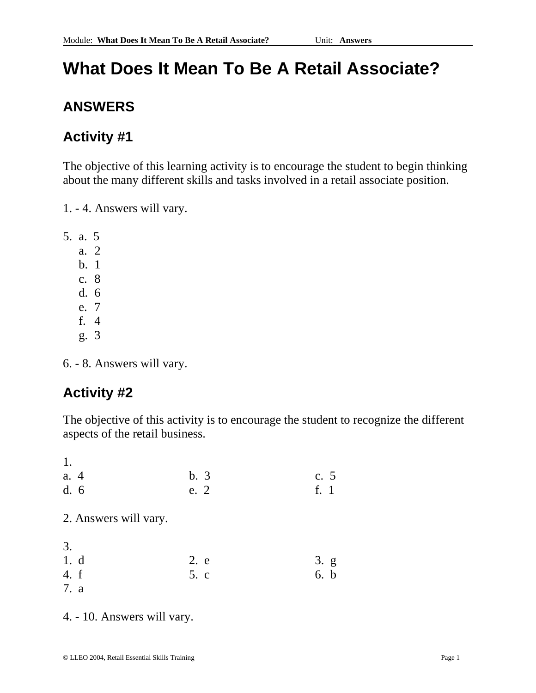# **What Does It Mean To Be A Retail Associate?**

## **ANSWERS**

## **Activity #1**

The objective of this learning activity is to encourage the student to begin thinking about the many different skills and tasks involved in a retail associate position.

1. - 4. Answers will vary.

5. a. 5

a. 2

- b. 1
- c. 8
- d. 6
- e. 7
- f. 4
- g. 3

6. - 8. Answers will vary.

## **Activity #2**

The objective of this activity is to encourage the student to recognize the different aspects of the retail business.

| b.3  | c. $5$ |
|------|--------|
|      | f. 1   |
|      |        |
|      |        |
|      |        |
|      |        |
| 2. e | 3. g   |
| 5. c | 6. b   |
|      |        |
|      | e. 2   |

4. - 10. Answers will vary.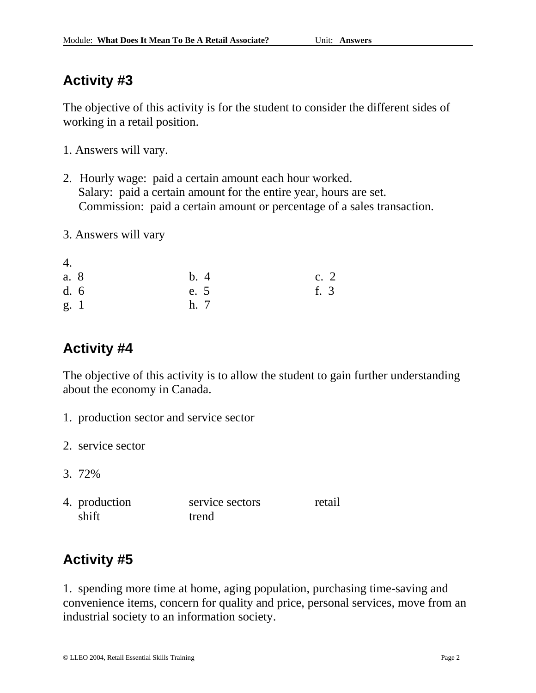The objective of this activity is for the student to consider the different sides of working in a retail position.

- 1. Answers will vary.
- 2. Hourly wage: paid a certain amount each hour worked. Salary: paid a certain amount for the entire year, hours are set. Commission: paid a certain amount or percentage of a sales transaction.
- 3. Answers will vary

| 4.   |      |        |
|------|------|--------|
| a. 8 | b.4  | c. $2$ |
| d.6  | e. 5 | f. 3   |
| g. 1 | h. 7 |        |

## **Activity #4**

The objective of this activity is to allow the student to gain further understanding about the economy in Canada.

- 1. production sector and service sector
- 2. service sector
- 3. 72%
- 4. production service sectors retail shift trend

## **Activity #5**

1. spending more time at home, aging population, purchasing time-saving and convenience items, concern for quality and price, personal services, move from an industrial society to an information society.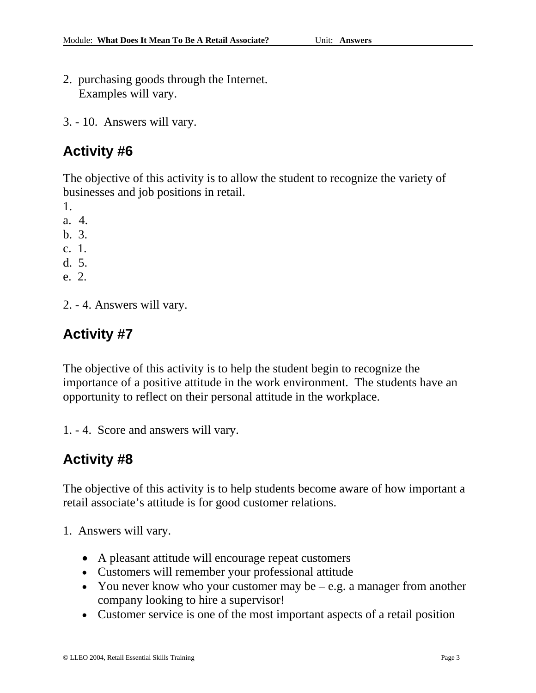- 2. purchasing goods through the Internet. Examples will vary.
- 3. 10. Answers will vary.

The objective of this activity is to allow the student to recognize the variety of businesses and job positions in retail.

1.

- a. 4.
- b. 3.
- c. 1.
- d. 5.
- e. 2.
- 2. 4. Answers will vary.

## **Activity #7**

The objective of this activity is to help the student begin to recognize the importance of a positive attitude in the work environment. The students have an opportunity to reflect on their personal attitude in the workplace.

1. - 4. Score and answers will vary.

### **Activity #8**

The objective of this activity is to help students become aware of how important a retail associate's attitude is for good customer relations.

- 1. Answers will vary.
	- A pleasant attitude will encourage repeat customers
	- Customers will remember your professional attitude
	- You never know who your customer may be e.g. a manager from another company looking to hire a supervisor!
	- Customer service is one of the most important aspects of a retail position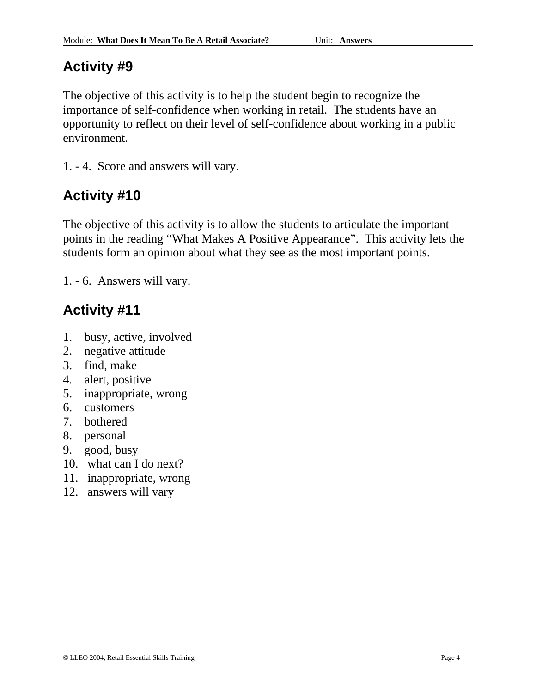The objective of this activity is to help the student begin to recognize the importance of self-confidence when working in retail. The students have an opportunity to reflect on their level of self-confidence about working in a public environment.

1. - 4. Score and answers will vary.

## **Activity #10**

The objective of this activity is to allow the students to articulate the important points in the reading "What Makes A Positive Appearance". This activity lets the students form an opinion about what they see as the most important points.

1. - 6. Answers will vary.

- 1. busy, active, involved
- 2. negative attitude
- 3. find, make
- 4. alert, positive
- 5. inappropriate, wrong
- 6. customers
- 7. bothered
- 8. personal
- 9. good, busy
- 10. what can I do next?
- 11. inappropriate, wrong
- 12. answers will vary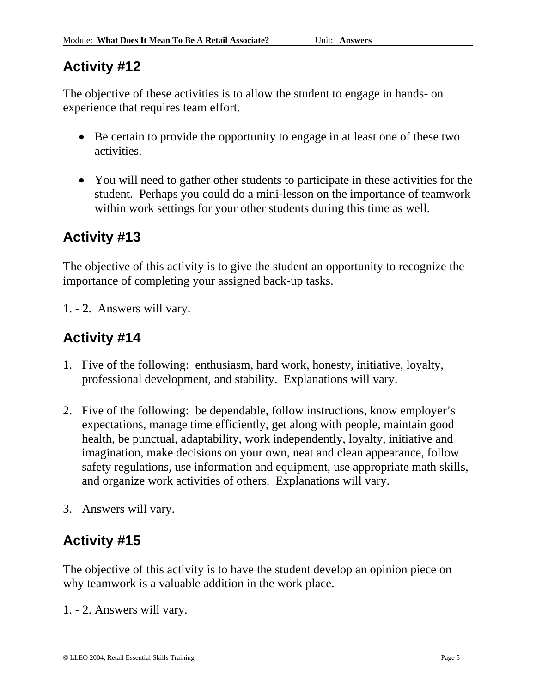The objective of these activities is to allow the student to engage in hands- on experience that requires team effort.

- Be certain to provide the opportunity to engage in at least one of these two activities.
- You will need to gather other students to participate in these activities for the student. Perhaps you could do a mini-lesson on the importance of teamwork within work settings for your other students during this time as well.

## **Activity #13**

The objective of this activity is to give the student an opportunity to recognize the importance of completing your assigned back-up tasks.

1. - 2. Answers will vary.

## **Activity #14**

- 1. Five of the following: enthusiasm, hard work, honesty, initiative, loyalty, professional development, and stability. Explanations will vary.
- 2. Five of the following: be dependable, follow instructions, know employer's expectations, manage time efficiently, get along with people, maintain good health, be punctual, adaptability, work independently, loyalty, initiative and imagination, make decisions on your own, neat and clean appearance, follow safety regulations, use information and equipment, use appropriate math skills, and organize work activities of others. Explanations will vary.
- 3. Answers will vary.

## **Activity #15**

The objective of this activity is to have the student develop an opinion piece on why teamwork is a valuable addition in the work place.

1. - 2. Answers will vary.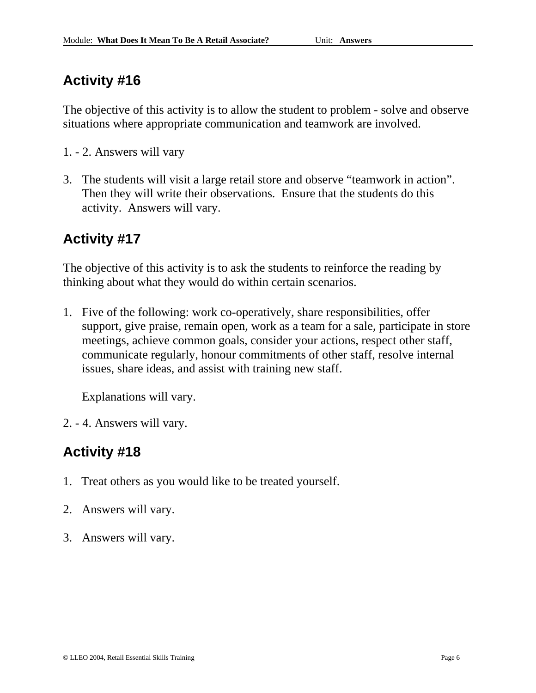The objective of this activity is to allow the student to problem - solve and observe situations where appropriate communication and teamwork are involved.

- 1. 2. Answers will vary
- 3. The students will visit a large retail store and observe "teamwork in action". Then they will write their observations. Ensure that the students do this activity. Answers will vary.

## **Activity #17**

The objective of this activity is to ask the students to reinforce the reading by thinking about what they would do within certain scenarios.

1. Five of the following: work co-operatively, share responsibilities, offer support, give praise, remain open, work as a team for a sale, participate in store meetings, achieve common goals, consider your actions, respect other staff, communicate regularly, honour commitments of other staff, resolve internal issues, share ideas, and assist with training new staff.

Explanations will vary.

2. - 4. Answers will vary.

- 1. Treat others as you would like to be treated yourself.
- 2. Answers will vary.
- 3. Answers will vary.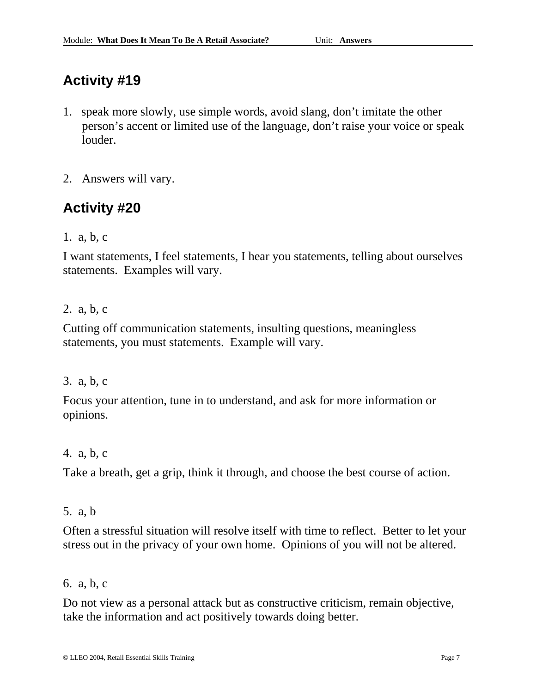- 1. speak more slowly, use simple words, avoid slang, don't imitate the other person's accent or limited use of the language, don't raise your voice or speak louder.
- 2. Answers will vary.

### **Activity #20**

1. a, b, c

I want statements, I feel statements, I hear you statements, telling about ourselves statements. Examples will vary.

### 2. a, b, c

Cutting off communication statements, insulting questions, meaningless statements, you must statements. Example will vary.

### 3. a, b, c

Focus your attention, tune in to understand, and ask for more information or opinions.

### 4. a, b, c

Take a breath, get a grip, think it through, and choose the best course of action.

### 5. a, b

Often a stressful situation will resolve itself with time to reflect. Better to let your stress out in the privacy of your own home. Opinions of you will not be altered.

### 6. a, b, c

Do not view as a personal attack but as constructive criticism, remain objective, take the information and act positively towards doing better.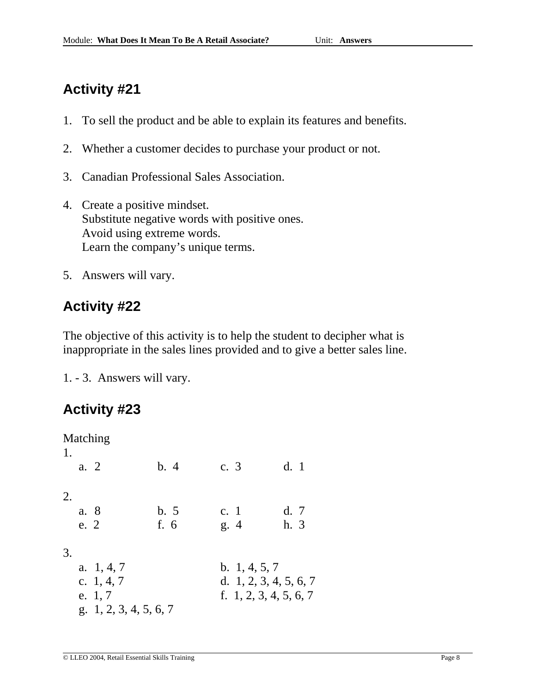- 1. To sell the product and be able to explain its features and benefits.
- 2. Whether a customer decides to purchase your product or not.
- 3. Canadian Professional Sales Association.
- 4. Create a positive mindset. Substitute negative words with positive ones. Avoid using extreme words. Learn the company's unique terms.
- 5. Answers will vary.

### **Activity #22**

The objective of this activity is to help the student to decipher what is inappropriate in the sales lines provided and to give a better sales line.

1. - 3. Answers will vary.

| 1. |      | Matching                 |      |                        |      |
|----|------|--------------------------|------|------------------------|------|
|    | a. 2 |                          | b.4  | c. 3                   | d.1  |
| 2. |      |                          |      |                        |      |
|    | a. 8 |                          | b.5  | c. 1                   | d.7  |
|    | e. 2 |                          | f. 6 | g.4                    | h. 3 |
| 3. |      |                          |      |                        |      |
|    |      | a. $1, 4, 7$             |      | b. $1, 4, 5, 7$        |      |
|    |      | c. $1, 4, 7$             |      | d. 1, 2, 3, 4, 5, 6, 7 |      |
|    |      | e. 1, 7                  |      | f. 1, 2, 3, 4, 5, 6, 7 |      |
|    |      | g. $1, 2, 3, 4, 5, 6, 7$ |      |                        |      |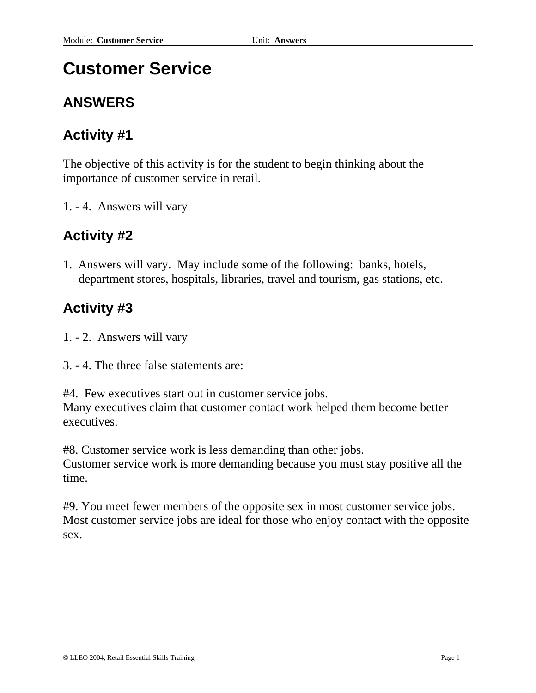# **Customer Service**

### **ANSWERS**

### **Activity #1**

The objective of this activity is for the student to begin thinking about the importance of customer service in retail.

1. - 4. Answers will vary

### **Activity #2**

1. Answers will vary. May include some of the following: banks, hotels, department stores, hospitals, libraries, travel and tourism, gas stations, etc.

### **Activity #3**

- 1. 2. Answers will vary
- 3. 4. The three false statements are:

#4. Few executives start out in customer service jobs. Many executives claim that customer contact work helped them become better executives.

#8. Customer service work is less demanding than other jobs. Customer service work is more demanding because you must stay positive all the time.

#9. You meet fewer members of the opposite sex in most customer service jobs. Most customer service jobs are ideal for those who enjoy contact with the opposite sex.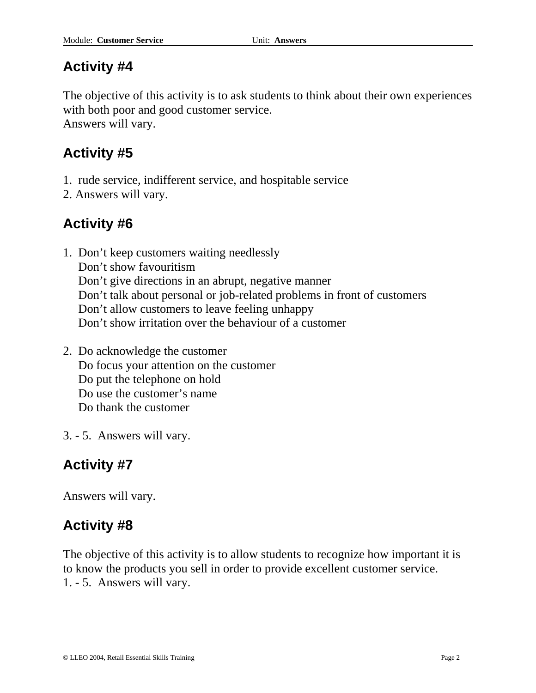The objective of this activity is to ask students to think about their own experiences with both poor and good customer service. Answers will vary.

**Activity #5** 

- 1. rude service, indifferent service, and hospitable service
- 2. Answers will vary.

### **Activity #6**

- 1. Don't keep customers waiting needlessly Don't show favouritism Don't give directions in an abrupt, negative manner Don't talk about personal or job-related problems in front of customers Don't allow customers to leave feeling unhappy Don't show irritation over the behaviour of a customer
- 2. Do acknowledge the customer Do focus your attention on the customer Do put the telephone on hold Do use the customer's name Do thank the customer
- 3. 5. Answers will vary.

### **Activity #7**

Answers will vary.

### **Activity #8**

The objective of this activity is to allow students to recognize how important it is to know the products you sell in order to provide excellent customer service. 1. - 5. Answers will vary.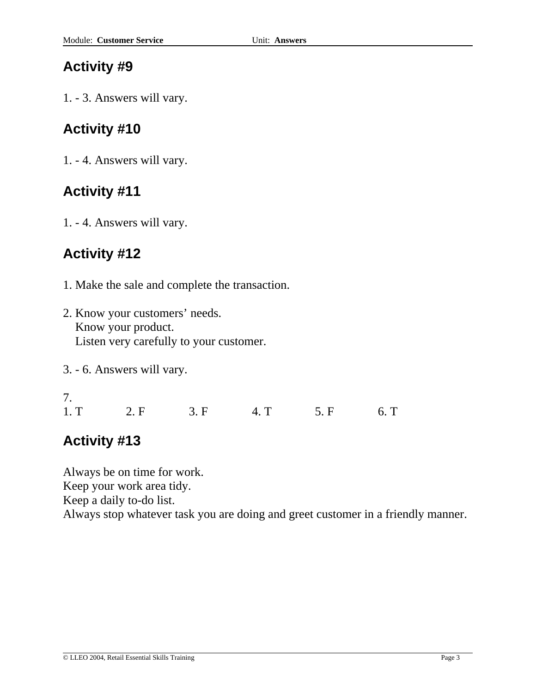1. - 3. Answers will vary.

### **Activity #10**

1. - 4. Answers will vary.

### **Activity #11**

1. - 4. Answers will vary.

### **Activity #12**

- 1. Make the sale and complete the transaction.
- 2. Know your customers' needs. Know your product. Listen very carefully to your customer.
- 3. 6. Answers will vary.

7. 1. T 2. F 3. F 4. T 5. F 6. T

### **Activity #13**

Always be on time for work.

Keep your work area tidy.

Keep a daily to-do list.

Always stop whatever task you are doing and greet customer in a friendly manner.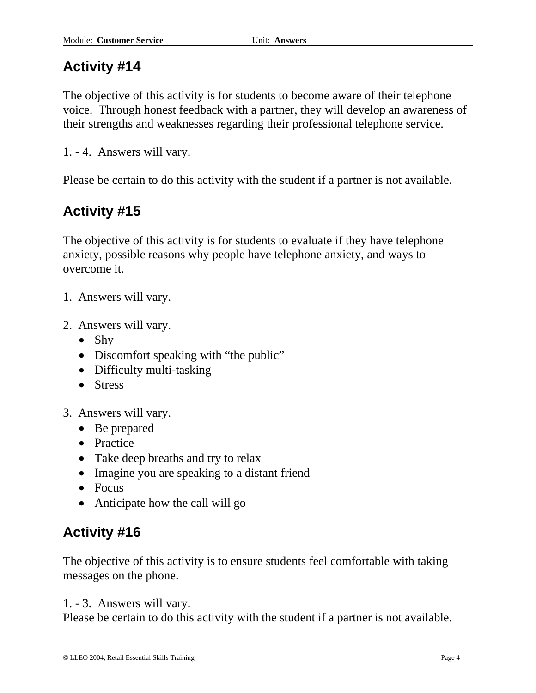The objective of this activity is for students to become aware of their telephone voice. Through honest feedback with a partner, they will develop an awareness of their strengths and weaknesses regarding their professional telephone service.

1. - 4. Answers will vary.

Please be certain to do this activity with the student if a partner is not available.

## **Activity #15**

The objective of this activity is for students to evaluate if they have telephone anxiety, possible reasons why people have telephone anxiety, and ways to overcome it.

- 1. Answers will vary.
- 2. Answers will vary.
	- Shy
	- Discomfort speaking with "the public"
	- Difficulty multi-tasking
	- Stress
- 3. Answers will vary.
	- Be prepared
	- Practice
	- Take deep breaths and try to relax
	- Imagine you are speaking to a distant friend
	- Focus
	- Anticipate how the call will go

## **Activity #16**

The objective of this activity is to ensure students feel comfortable with taking messages on the phone.

1. - 3. Answers will vary.

Please be certain to do this activity with the student if a partner is not available.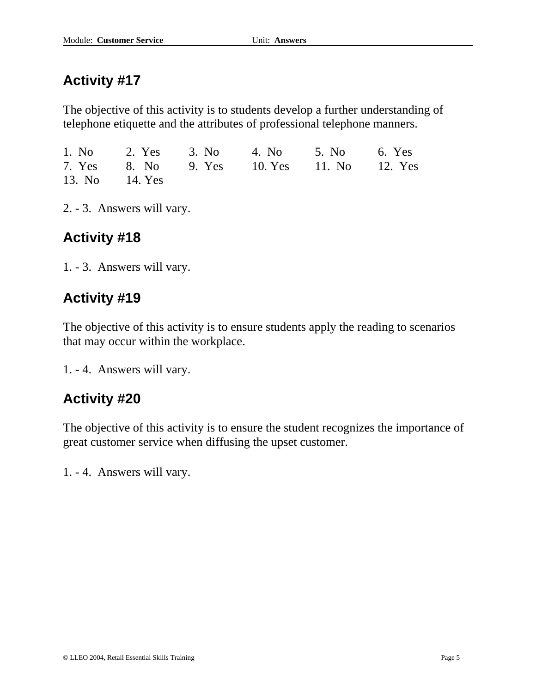The objective of this activity is to students develop a further understanding of telephone etiquette and the attributes of professional telephone manners.

|                | 1. No 2. Yes 3. No 4. No 5. No 6. Yes      |  |
|----------------|--------------------------------------------|--|
|                | 7. Yes 8. No 9. Yes 10. Yes 11. No 12. Yes |  |
| 13. No 14. Yes |                                            |  |

2. - 3. Answers will vary.

## **Activity #18**

1. - 3. Answers will vary.

## **Activity #19**

The objective of this activity is to ensure students apply the reading to scenarios that may occur within the workplace.

1. - 4. Answers will vary.

### **Activity #20**

The objective of this activity is to ensure the student recognizes the importance of great customer service when diffusing the upset customer.

1. - 4. Answers will vary.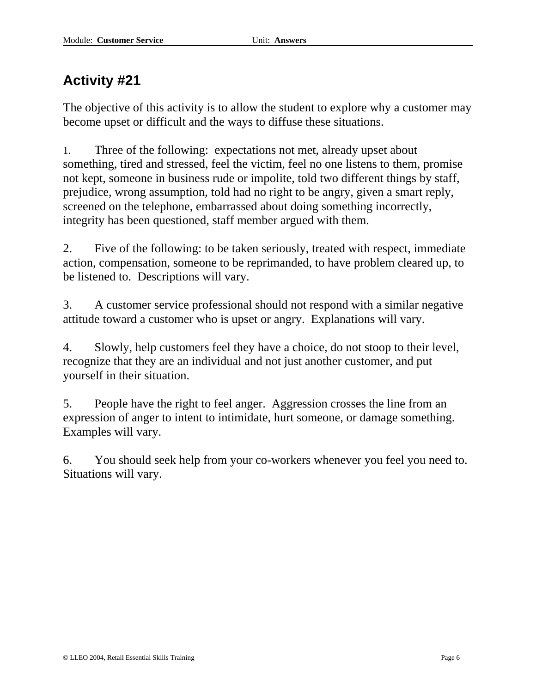The objective of this activity is to allow the student to explore why a customer may become upset or difficult and the ways to diffuse these situations.

1. Three of the following: expectations not met, already upset about something, tired and stressed, feel the victim, feel no one listens to them, promise not kept, someone in business rude or impolite, told two different things by staff, prejudice, wrong assumption, told had no right to be angry, given a smart reply, screened on the telephone, embarrassed about doing something incorrectly, integrity has been questioned, staff member argued with them.

2. Five of the following: to be taken seriously, treated with respect, immediate action, compensation, someone to be reprimanded, to have problem cleared up, to be listened to. Descriptions will vary.

3. A customer service professional should not respond with a similar negative attitude toward a customer who is upset or angry. Explanations will vary.

4. Slowly, help customers feel they have a choice, do not stoop to their level, recognize that they are an individual and not just another customer, and put yourself in their situation.

5. People have the right to feel anger. Aggression crosses the line from an expression of anger to intent to intimidate, hurt someone, or damage something. Examples will vary.

6. You should seek help from your co-workers whenever you feel you need to. Situations will vary.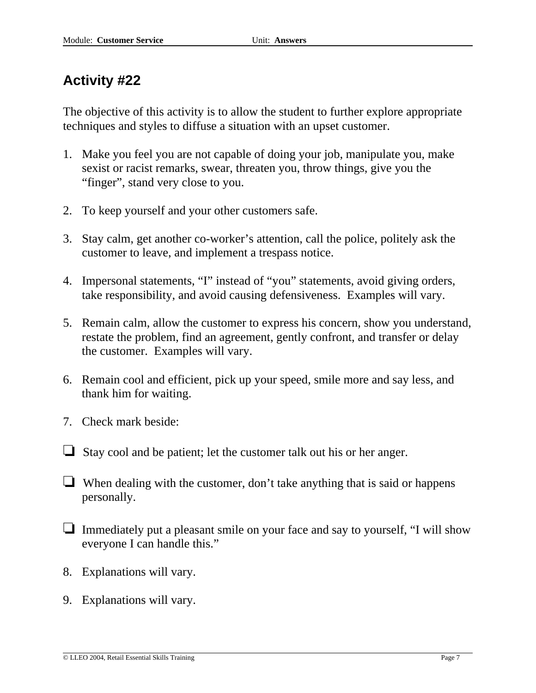The objective of this activity is to allow the student to further explore appropriate techniques and styles to diffuse a situation with an upset customer.

- 1. Make you feel you are not capable of doing your job, manipulate you, make sexist or racist remarks, swear, threaten you, throw things, give you the "finger", stand very close to you.
- 2. To keep yourself and your other customers safe.
- 3. Stay calm, get another co-worker's attention, call the police, politely ask the customer to leave, and implement a trespass notice.
- 4. Impersonal statements, "I" instead of "you" statements, avoid giving orders, take responsibility, and avoid causing defensiveness. Examples will vary.
- 5. Remain calm, allow the customer to express his concern, show you understand, restate the problem, find an agreement, gently confront, and transfer or delay the customer. Examples will vary.
- 6. Remain cool and efficient, pick up your speed, smile more and say less, and thank him for waiting.
- 7. Check mark beside:
- $\Box$  Stay cool and be patient; let the customer talk out his or her anger.
- When dealing with the customer, don't take anything that is said or happens personally.
- $\Box$  Immediately put a pleasant smile on your face and say to yourself, "I will show everyone I can handle this."
- 8. Explanations will vary.
- 9. Explanations will vary.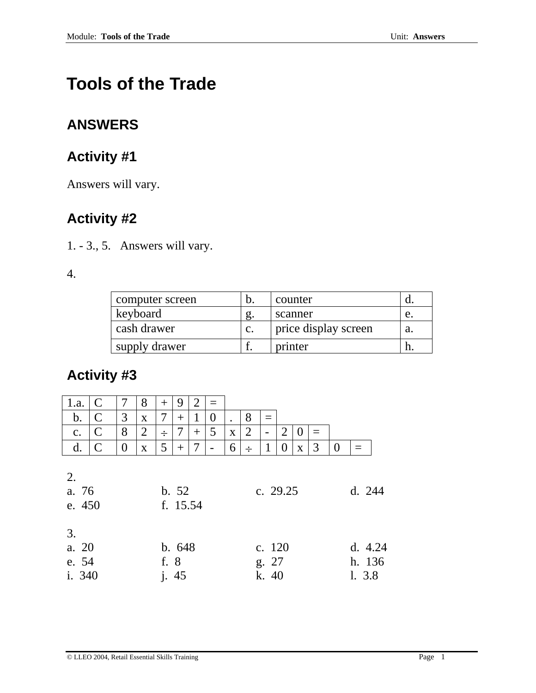# **Tools of the Trade**

## **ANSWERS**

## **Activity #1**

Answers will vary.

# **Activity #2**

1. - 3., 5. Answers will vary.

4.

| computer screen | b.             | counter              |    |
|-----------------|----------------|----------------------|----|
| keyboard        | g.             | scanner              | e. |
| cash drawer     | $\mathbf{c}$ . | price display screen |    |
| supply drawer   |                | printer              |    |

| 1.a.                           | $\mathsf{C}$ | 7              | 8              | $^{+}$ | 9                 | 2      | $=$            |           |                |                          |   |                |     |                |                               |  |
|--------------------------------|--------------|----------------|----------------|--------|-------------------|--------|----------------|-----------|----------------|--------------------------|---|----------------|-----|----------------|-------------------------------|--|
| $b$ .                          | $\mathsf{C}$ | 3              | X              |        | $^{+}$            | 1      | $\overline{0}$ | $\bullet$ | 8              |                          |   |                |     |                |                               |  |
| c.                             | $\mathsf{C}$ | 8              | $\overline{2}$ | $\div$ | 7                 | $^{+}$ | 5              | X         | $\overline{2}$ | -                        | 2 | $\overline{0}$ | $=$ |                |                               |  |
| d.                             | $\mathsf{C}$ | $\overline{0}$ | X              | 5      | $^{+}$            | 7      |                | 6         | ÷              |                          | 0 | $\mathbf X$    | 3   | $\overline{0}$ |                               |  |
| 2.<br>a. 76<br>e. 450          |              |                |                |        | b. 52<br>f. 15.54 |        |                |           |                | c. 29.25                 |   |                |     |                | d. 244                        |  |
| 3.<br>a. 20<br>e. 54<br>i. 340 |              |                |                | f. 8   | b.648<br>j. 45    |        |                |           |                | c. 120<br>g. 27<br>k. 40 |   |                |     |                | d. $4.24$<br>h. 136<br>1. 3.8 |  |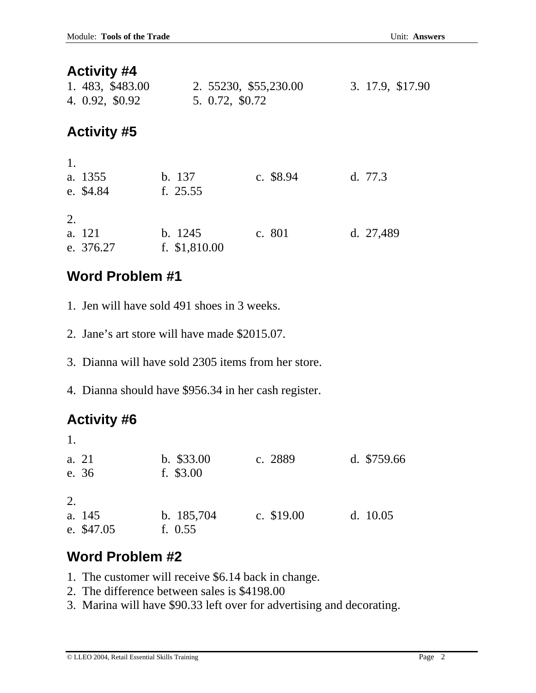| 1. 483, \$483.00<br>4. 0.92, \$0.92 | 2. 55230, \$55,230.00<br>5. 0.72, \$0.72 |           | 3. 17.9, \$17.90 |
|-------------------------------------|------------------------------------------|-----------|------------------|
| <b>Activity #5</b>                  |                                          |           |                  |
| 1.<br>a. 1355<br>e. \$4.84          | b. 137<br>f. $25.55$                     | c. \$8.94 | d. $77.3$        |
| 2.<br>a. 121<br>e. 376.27           | b. 1245<br>f. $$1,810.00$                | c. 801    | d. 27,489        |

# **Word Problem #1**

- 1. Jen will have sold 491 shoes in 3 weeks.
- 2. Jane's art store will have made \$2015.07.
- 3. Dianna will have sold 2305 items from her store.
- 4. Dianna should have \$956.34 in her cash register.

# **Activity #6**

| 1.     |            |              |             |              |
|--------|------------|--------------|-------------|--------------|
| a. 21  |            | $b.$ \$33.00 | c. 2889     | d. $$759.66$ |
| e. 36  |            | f. $$3.00$   |             |              |
|        |            |              |             |              |
| 2.     |            |              |             |              |
| a. 145 |            | b. 185,704   | c. $$19.00$ | d. $10.05$   |
|        | e. \$47.05 | f. $0.55$    |             |              |

# **Word Problem #2**

- 1. The customer will receive \$6.14 back in change.
- 2. The difference between sales is \$4198.00
- 3. Marina will have \$90.33 left over for advertising and decorating.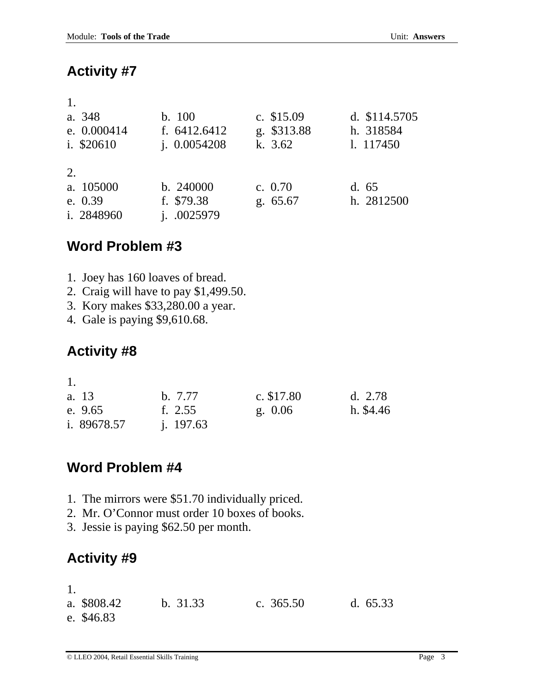| 1.          |                |             |               |
|-------------|----------------|-------------|---------------|
| a. 348      | b. 100         | c. $$15.09$ | d. \$114.5705 |
| e. 0.000414 | f. $6412.6412$ | g. \$313.88 | h. 318584     |
| i. \$20610  | i. 0.0054208   | k. $3.62$   | 1. 117450     |
|             |                |             |               |
| 2.          |                |             |               |
| a. 105000   | b. 240000      | c. $0.70$   | d.65          |
| e. $0.39$   | f. \$79.38     | g. 65.67    | h. 2812500    |
| i. 2848960  | i. 0025979     |             |               |

## **Word Problem #3**

- 1. Joey has 160 loaves of bread.
- 2. Craig will have to pay \$1,499.50.
- 3. Kory makes \$33,280.00 a year.
- 4. Gale is paying \$9,610.68.

# **Activity #8**

| 1.          |             |             |           |
|-------------|-------------|-------------|-----------|
| a. 13       | b. 7.77     | c. $$17.80$ | d. $2.78$ |
| e. 9.65     | f. $2.55$   | g. 0.06     | h. \$4.46 |
| i. 89678.57 | i. $197.63$ |             |           |

## **Word Problem #4**

- 1. The mirrors were \$51.70 individually priced.
- 2. Mr. O'Connor must order 10 boxes of books.
- 3. Jessie is paying \$62.50 per month.

# **Activity #9**

1.

| a. \$808.42 | b. 31.33 | c. $365.50$ | d. $65.33$ |
|-------------|----------|-------------|------------|
| e. \$46.83  |          |             |            |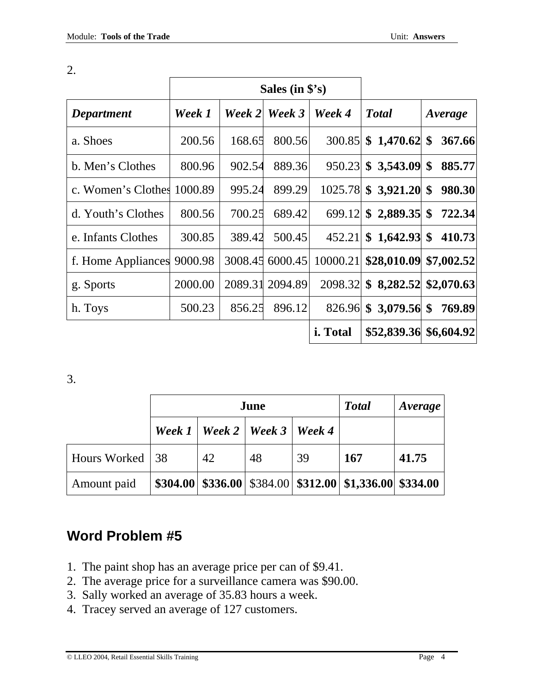|                            |         | Sales (in $$^{\circ}$ s) |         |          |                              |            |
|----------------------------|---------|--------------------------|---------|----------|------------------------------|------------|
| <b>Department</b>          | Week 1  | Week 2                   | Week 3  | Week 4   | <b>Total</b>                 | Average    |
| a. Shoes                   | 200.56  | 168.65                   | 800.56  | 300.85   | \$1,470.62\$                 | 367.66     |
| b. Men's Clothes           | 800.96  | 902.54                   | 889.36  |          | $950.23$ \$ 3,543.09 \$      | 885.77     |
| c. Women's Clothes 1000.89 |         | 995.24                   | 899.29  |          | $1025.78$ \$ 3,921.20 \$     | 980.30     |
| d. Youth's Clothes         | 800.56  | 700.25                   | 689.42  | 699.12   | $$2,889.35$ \\$              | 722.34     |
| e. Infants Clothes         | 300.85  | 389.42                   | 500.45  | 452.21   | $$1,642.93$$ \$ 410.73       |            |
| f. Home Appliances         | 9000.98 | 3008.45                  | 6000.45 | 10000.21 | \$28,010.09                  | \$7,002.52 |
| g. Sports                  | 2000.00 | 2089.31                  | 2094.89 | 2098.32  | $$8,282.52 \ $2,070.63$      |            |
| h. Toys                    | 500.23  | 856.25                   | 896.12  |          | 826.96 \$ 3,079.56 \$ 769.89 |            |
|                            |         |                          |         | i. Total | \$52,839.36 \$6,604.92       |            |

2.

3.

|                 | June |                                   |    | <b>Total</b> | Average                                                                                          |       |
|-----------------|------|-----------------------------------|----|--------------|--------------------------------------------------------------------------------------------------|-------|
|                 |      | Week 1   Week 2   Week 3   Week 4 |    |              |                                                                                                  |       |
| Hours Worked 38 |      | 42                                | 48 | 39           | 167                                                                                              | 41.75 |
| Amount paid     |      |                                   |    |              | $$304.00 \, \times 336.00 \, \times 384.00 \, \times 312.00 \, \times 1,336.00 \, \times 334.00$ |       |

## **Word Problem #5**

- 1. The paint shop has an average price per can of \$9.41.
- 2. The average price for a surveillance camera was \$90.00.
- 3. Sally worked an average of 35.83 hours a week.
- 4. Tracey served an average of 127 customers.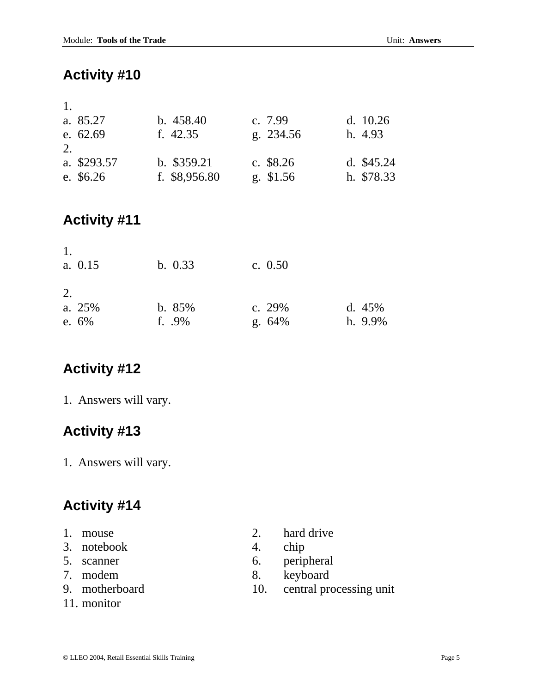| 1. |             |                |            |             |
|----|-------------|----------------|------------|-------------|
|    | a. 85.27    | b.458.40       | c. 7.99    | d. $10.26$  |
|    | e. 62.69    | f. $42.35$     | g. 234.56  | h. 4.93     |
| 2. |             |                |            |             |
|    | a. \$293.57 | $b.$ \$359.21  | c. $$8.26$ | d. $$45.24$ |
|    | e. \$6.26   | f. $$8,956.80$ | g. \$1.56  | h. \$78.33  |

## **Activity #11**

| 1.<br>a. 0.15 | b. 0.33   | c. $0.50$ |            |
|---------------|-----------|-----------|------------|
| 2.            |           |           |            |
| a. 25%        | b. 85%    | c. $29%$  | d. $45%$   |
| e. $6\%$      | f. $.9\%$ | g.64%     | $h. 9.9\%$ |

### **Activity #12**

1. Answers will vary.

## **Activity #13**

1. Answers will vary.

- 
- 3. notebook 4. chip
- 
- 
- 
- 11. monitor
- 1. mouse 2. hard drive
	-
- 5. scanner 6. peripheral
- 7. modem 8. keyboard
- 9. motherboard 10. central processing unit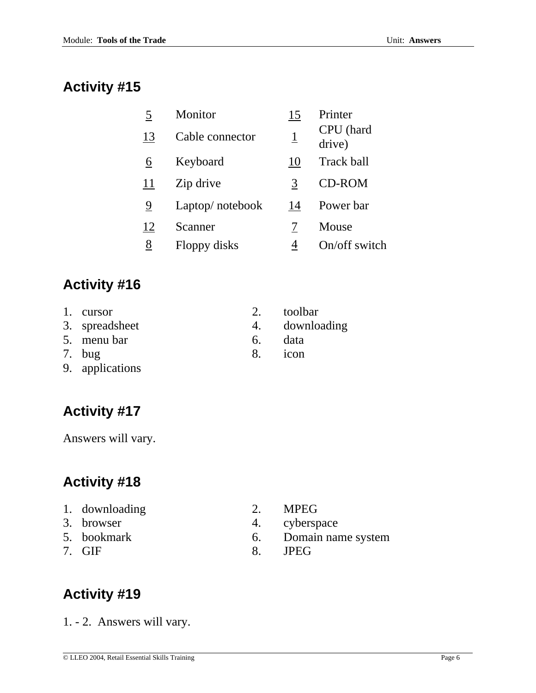| 5  | Monitor         | 15       | Printer             |
|----|-----------------|----------|---------------------|
| 13 | Cable connector | <u>1</u> | CPU (hard<br>drive) |
| 6  | Keyboard        | 10       | Track ball          |
| 11 | Zip drive       | 3        | <b>CD-ROM</b>       |
| 9  | Laptop/notebook | 14       | Power bar           |
| 12 | Scanner         |          | Mouse               |
| 8  | Floppy disks    | 4        | On/off switch       |
|    |                 |          |                     |

# **Activity #16**

- 1. cursor 2. toolbar
- 3. spreadsheet 4. downloading
- 5. menu bar 6. data
- 
- 9. applications
- **Activity #17**

Answers will vary.

# **Activity #18**

- 1. downloading 2. MPEG
- 
- 
- 

7. bug 8. icon

- 
- 3. browser 4. cyberspace
- 5. bookmark 6. Domain name system
- 7. GIF 8. JPEG

# **Activity #19**

1. - 2. Answers will vary.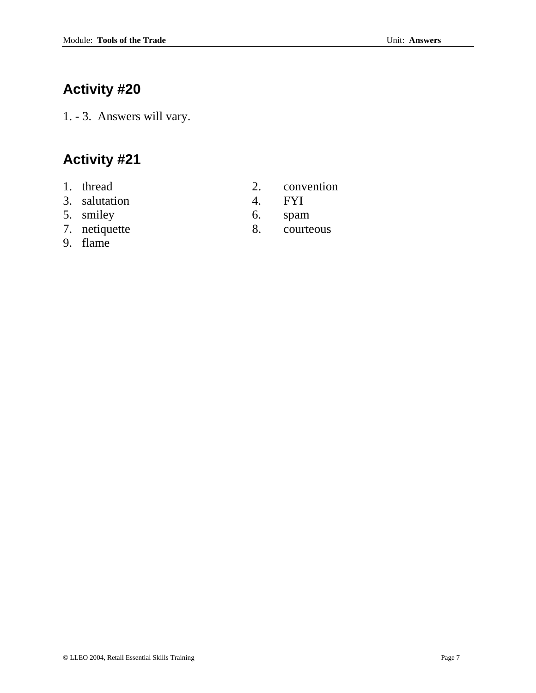1. - 3. Answers will vary.

- 
- 3. salutation 4. FYI
- 
- 
- 9. flame
- 1. thread 2. convention
	-
- 5. smiley 6. spam
- 7. netiquette 8. courteous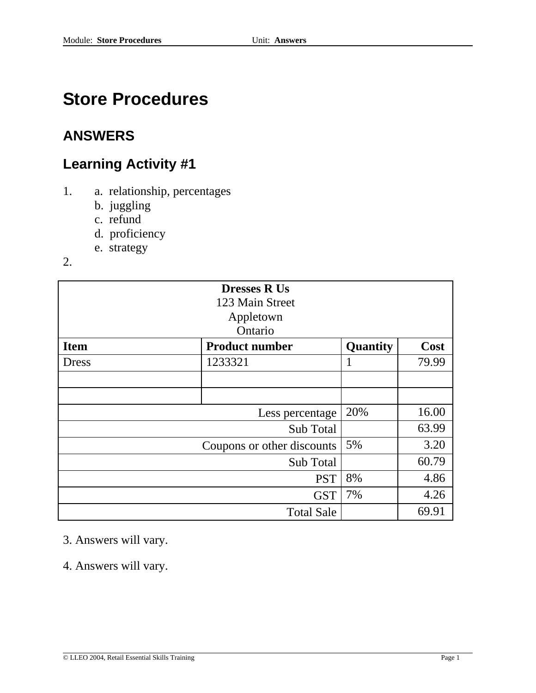# **Store Procedures**

## **ANSWERS**

## **Learning Activity #1**

- 1. a. relationship, percentages
	- b. juggling
	- c. refund
	- d. proficiency
	- e. strategy
- 2.

| <b>Dresses R Us</b>              |                       |             |       |
|----------------------------------|-----------------------|-------------|-------|
|                                  | 123 Main Street       |             |       |
|                                  | Appletown             |             |       |
|                                  | Ontario               |             |       |
| <b>Item</b>                      | <b>Product number</b> | Quantity    | Cost  |
| Dress                            | 1233321               | $\mathbf I$ | 79.99 |
|                                  |                       |             |       |
|                                  |                       |             |       |
| 20%<br>16.00<br>Less percentage  |                       |             |       |
| 63.99<br>Sub Total               |                       |             |       |
| 5%<br>Coupons or other discounts |                       |             | 3.20  |
| Sub Total                        |                       |             | 60.79 |
| 8%<br><b>PST</b>                 |                       |             | 4.86  |
| 7%<br><b>GST</b>                 |                       |             | 4.26  |
|                                  | <b>Total Sale</b>     |             | 69.91 |

### 3. Answers will vary.

4. Answers will vary.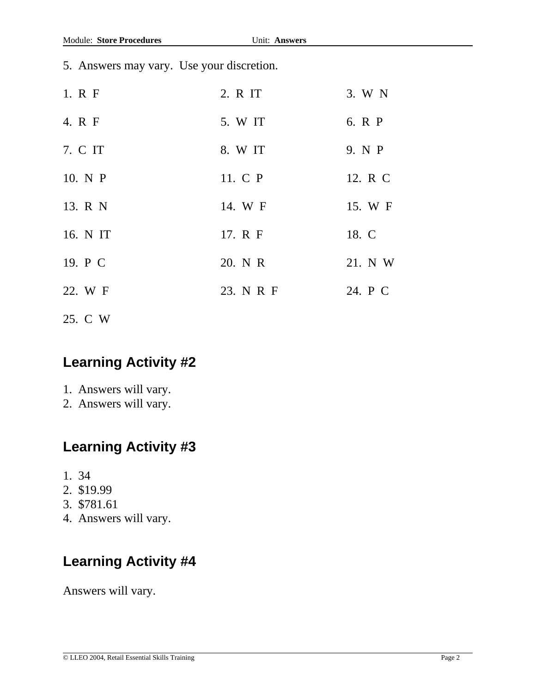5. Answers may vary. Use your discretion.

| 1. R F   | 2. R IT   | 3. W N  |
|----------|-----------|---------|
| 4. R F   | 5. W IT   | 6. R P  |
| 7. C IT  | 8. W IT   | 9. N P  |
| 10. N P  | 11. C P   | 12. R C |
| 13. R N  | 14. W F   | 15. W F |
| 16. N IT | 17. R F   | 18. C   |
| 19. P C  | 20. N R   | 21. N W |
| 22. W F  | 23. N R F | 24. P C |
|          |           |         |

25. C W

## **Learning Activity #2**

- 1. Answers will vary.
- 2. Answers will vary.

### **Learning Activity #3**

- 1. 34
- 2. \$19.99
- 3. \$781.61
- 4. Answers will vary.

## **Learning Activity #4**

Answers will vary.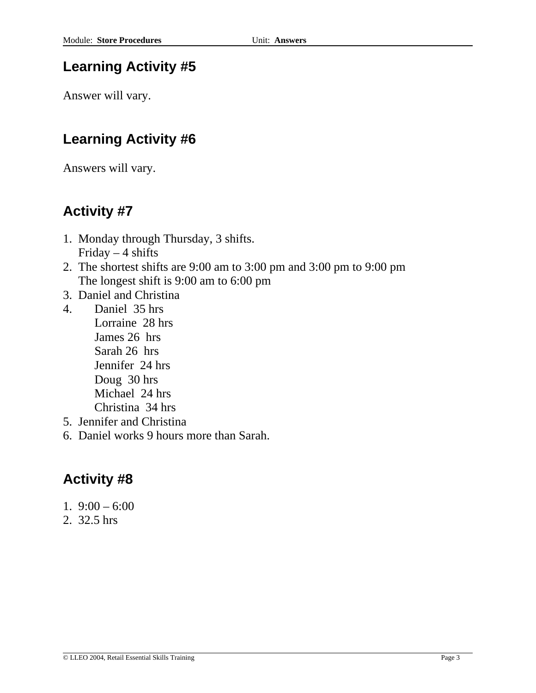## **Learning Activity #5**

Answer will vary.

## **Learning Activity #6**

Answers will vary.

## **Activity #7**

- 1. Monday through Thursday, 3 shifts. Friday  $-4$  shifts
- 2. The shortest shifts are 9:00 am to 3:00 pm and 3:00 pm to 9:00 pm The longest shift is 9:00 am to 6:00 pm
- 3. Daniel and Christina
- 4. Daniel 35 hrs Lorraine 28 hrs James 26 hrs Sarah 26 hrs Jennifer 24 hrs Doug 30 hrs Michael 24 hrs Christina 34 hrs
- 5. Jennifer and Christina
- 6. Daniel works 9 hours more than Sarah.

- 1.  $9:00 6:00$
- 2. 32.5 hrs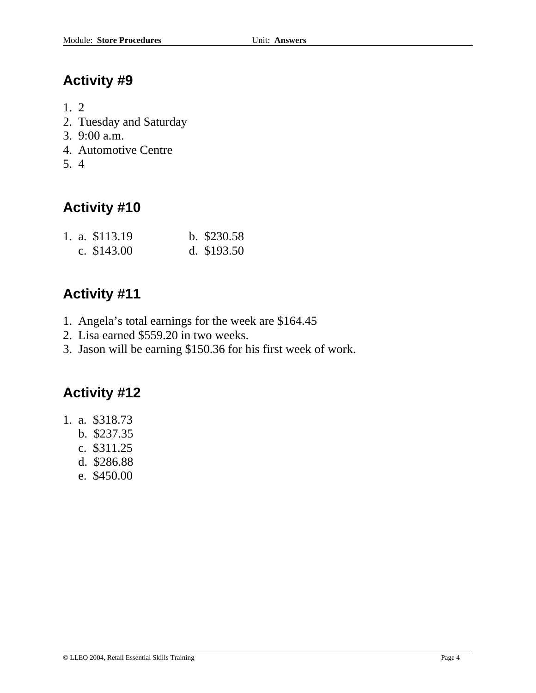- 1. 2
- 2. Tuesday and Saturday
- 3. 9:00 a.m.
- 4. Automotive Centre
- 5. 4

# **Activity #10**

|  | 1. a. \$113.19 | b. $$230.58$ |
|--|----------------|--------------|
|  | c. $$143.00$   | d. $$193.50$ |

## **Activity #11**

- 1. Angela's total earnings for the week are \$164.45
- 2. Lisa earned \$559.20 in two weeks.
- 3. Jason will be earning \$150.36 for his first week of work.

- 1. a. \$318.73
	- b. \$237.35
	- c. \$311.25
	- d. \$286.88
	- e. \$450.00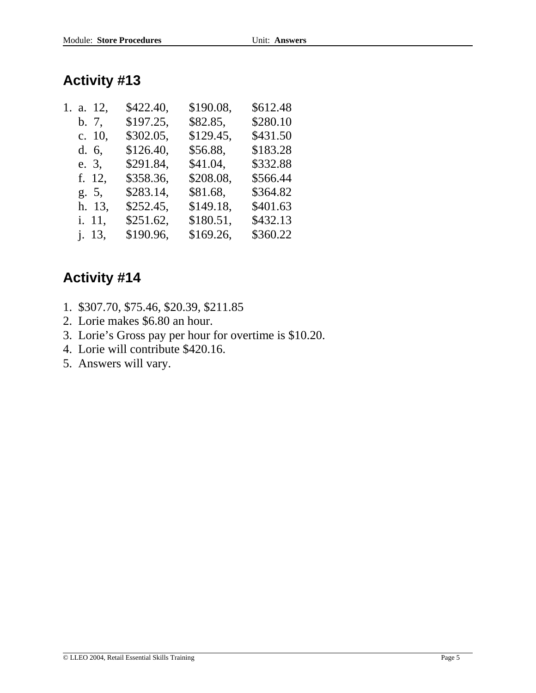| \$612.48 |
|----------|
| \$280.10 |
| \$431.50 |
| \$183.28 |
| \$332.88 |
| \$566.44 |
| \$364.82 |
| \$401.63 |
| \$432.13 |
| \$360.22 |
|          |

- 1. \$307.70, \$75.46, \$20.39, \$211.85
- 2. Lorie makes \$6.80 an hour.
- 3. Lorie's Gross pay per hour for overtime is \$10.20.
- 4. Lorie will contribute \$420.16.
- 5. Answers will vary.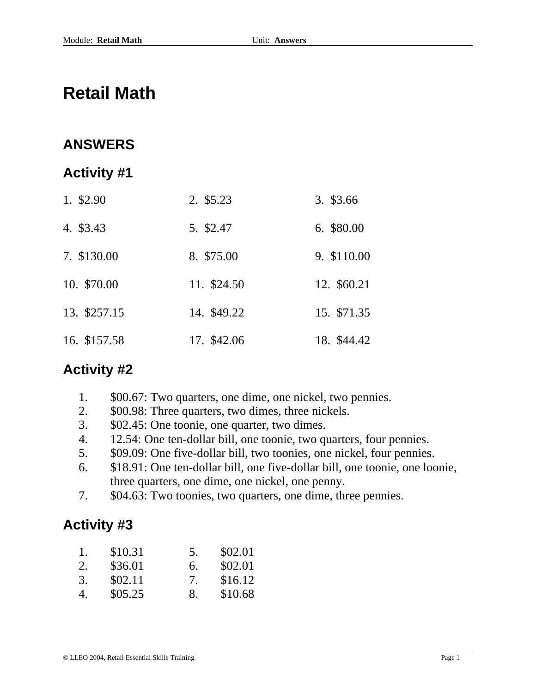# **Retail Math**

## **ANSWERS**

### **Activity #1**

| 1. \$2.90    | 2. \$5.23   | 3. \$3.66   |
|--------------|-------------|-------------|
| 4. \$3.43    | 5. \$2.47   | 6. \$80.00  |
| 7. \$130.00  | 8. \$75.00  | 9. \$110.00 |
| 10. \$70.00  | 11. \$24.50 | 12. \$60.21 |
| 13. \$257.15 | 14. \$49.22 | 15. \$71.35 |
| 16. \$157.58 | 17. \$42.06 | 18. \$44.42 |

### **Activity #2**

- 1. \$00.67: Two quarters, one dime, one nickel, two pennies.
- 2. \$00.98: Three quarters, two dimes, three nickels.
- 3. \$02.45: One toonie, one quarter, two dimes.
- 4. 12.54: One ten-dollar bill, one toonie, two quarters, four pennies.
- 5. \$09.09: One five-dollar bill, two toonies, one nickel, four pennies.
- 6. \$18.91: One ten-dollar bill, one five-dollar bill, one toonie, one loonie, three quarters, one dime, one nickel, one penny.
- 7. \$04.63: Two toonies, two quarters, one dime, three pennies.

| 1. | \$10.31 | 5. | \$02.01 |
|----|---------|----|---------|
| 2. | \$36.01 | 6. | \$02.01 |
| 3. | \$02.11 | 7  | \$16.12 |
| 4. | \$05.25 | 8. | \$10.68 |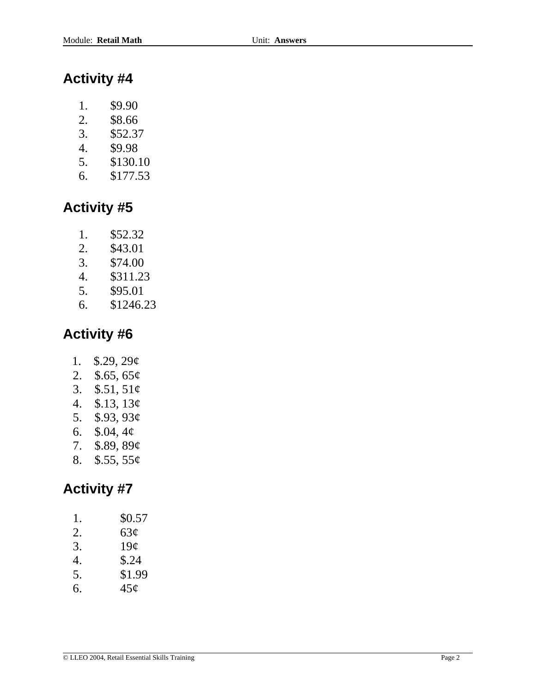- 1. \$9.90
- 2. \$8.66
- 3. \$52.37
- 4. \$9.98
- 5. \$130.10
- 6. \$177.53

## **Activity #5**

- 1. \$52.32
- 2. \$43.01
- 3. \$74.00
- 4. \$311.23
- 5. \$95.01
- 6. \$1246.23

## **Activity #6**

- 1. \$.29, 29¢
- 2. \$.65, 65¢
- 3. \$.51, 51¢
- 4. \$.13, 13¢
- 5. \$.93, 93¢
- 6. \$.04, 4¢
- 7. \$.89, 89¢
- 8. \$.55, 55¢

| 1. | \$0.57          |
|----|-----------------|
| 2. | 63¢             |
| 3. | 19 <sub>c</sub> |
| 4. | \$.24           |
| 5. | \$1.99          |
| 6. | 45 <sub>c</sub> |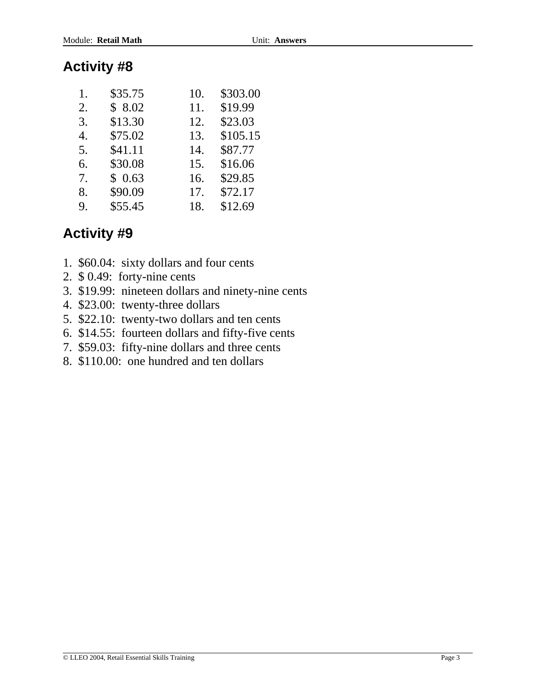| 1. | \$35.75 | 10. | \$303.00 |
|----|---------|-----|----------|
| 2. | \$8.02  | 11. | \$19.99  |
| 3. | \$13.30 | 12. | \$23.03  |
| 4. | \$75.02 | 13. | \$105.15 |
| 5. | \$41.11 | 14. | \$87.77  |
| 6. | \$30.08 | 15. | \$16.06  |
| 7. | \$0.63  | 16. | \$29.85  |
| 8. | \$90.09 | 17. | \$72.17  |
| 9. | \$55.45 | 18. | \$12.69  |

- 1. \$60.04: sixty dollars and four cents
- 2. \$ 0.49: forty-nine cents
- 3. \$19.99: nineteen dollars and ninety-nine cents
- 4. \$23.00: twenty-three dollars
- 5. \$22.10: twenty-two dollars and ten cents
- 6. \$14.55: fourteen dollars and fifty-five cents
- 7. \$59.03: fifty-nine dollars and three cents
- 8. \$110.00: one hundred and ten dollars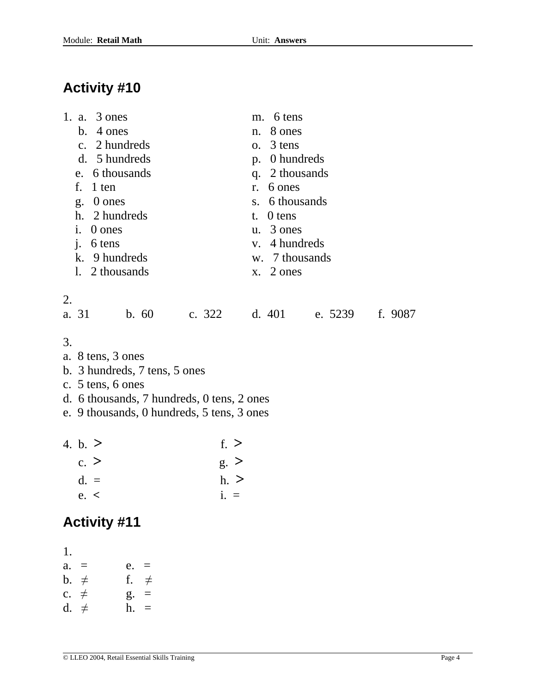| 1. a. 3 ones<br>b. 4 ones<br>c. 2 hundreds<br>d. 5 hundreds<br>e. 6 thousands<br>$f_{\cdot}$<br>1 ten<br>0 ones<br>g <sub>1</sub><br>h. 2 hundreds<br>i.<br>0 ones<br>$\mathbf{i}$ .<br>6 tens<br>k. 9 hundreds | 6 tens<br>m.<br>8 ones<br>$n_{\rm}$<br>$o. 3$ tens<br>p. 0 hundreds<br>q. 2 thousands<br>6 ones<br>$r_{\cdot}$<br>s. 6 thousands<br>0 tens<br>t.<br>$u. \ \ 3$ ones<br>v. 4 hundreds<br>w. 7 thousands |
|-----------------------------------------------------------------------------------------------------------------------------------------------------------------------------------------------------------------|--------------------------------------------------------------------------------------------------------------------------------------------------------------------------------------------------------|
| 1. 2 thousands                                                                                                                                                                                                  | $x.$ 2 ones                                                                                                                                                                                            |
| 2.<br>b.60<br>a. 31                                                                                                                                                                                             | c. 322 d. 401 e. 5239<br>f. 9087                                                                                                                                                                       |
| 3.<br>a. 8 tens, 3 ones<br>b. 3 hundreds, 7 tens, 5 ones<br>c. 5 tens, 6 ones<br>d. 6 thousands, 7 hundreds, 0 tens, 2 ones<br>e. 9 thousands, 0 hundreds, 5 tens, 3 ones                                       |                                                                                                                                                                                                        |
| 4. b. $>$<br>f. $>$<br>c. ><br>$g \geq$                                                                                                                                                                         |                                                                                                                                                                                                        |

- d.  $=$  h.  $>$
- e. **<** i. =

# **Activity #11**

1.  $a. = e. =$ b.  $\neq$  f.  $\neq$ c.  $\neq$  g. =

d.  $\neq$  h. =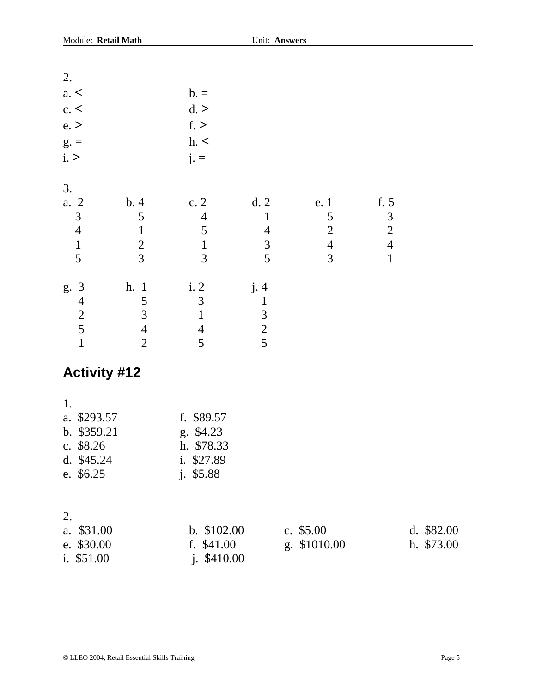| 2.                                                                          |                                                              |                                                                  |                                                              |                                                                              |                                                                       |                           |
|-----------------------------------------------------------------------------|--------------------------------------------------------------|------------------------------------------------------------------|--------------------------------------------------------------|------------------------------------------------------------------------------|-----------------------------------------------------------------------|---------------------------|
| a. <                                                                        |                                                              | $b =$                                                            |                                                              |                                                                              |                                                                       |                           |
| c. <                                                                        |                                                              | d.                                                               |                                                              |                                                                              |                                                                       |                           |
| e.                                                                          |                                                              | f.                                                               |                                                              |                                                                              |                                                                       |                           |
| $g =$                                                                       |                                                              | h. <                                                             |                                                              |                                                                              |                                                                       |                           |
| i. >                                                                        |                                                              | $j =$                                                            |                                                              |                                                                              |                                                                       |                           |
| 3.<br>a. 2<br>$\mathfrak{Z}$<br>$\overline{4}$<br>$\mathbf{1}$<br>5         | b.4<br>5<br>$\mathbf{1}$<br>$\overline{2}$<br>$\overline{3}$ | c.2<br>$\overline{4}$<br>5<br>$\mathbf 1$<br>$\overline{3}$      | d.2<br>$\mathbf{1}$<br>$\overline{4}$<br>$\overline{3}$<br>5 | e. 1<br>$\mathfrak{S}$<br>$\overline{2}$<br>$\overline{4}$<br>$\overline{3}$ | f. 5<br>$\mathfrak 3$<br>$\sqrt{2}$<br>$\overline{4}$<br>$\mathbf{1}$ |                           |
|                                                                             |                                                              |                                                                  |                                                              |                                                                              |                                                                       |                           |
| $\mathfrak{Z}$<br>g.<br>$\overline{4}$                                      | h. 1<br>5                                                    | i. 2<br>$\overline{3}$                                           | j.4<br>$\mathbf{1}$                                          |                                                                              |                                                                       |                           |
| $\frac{2}{5}$                                                               | 3                                                            | $\mathbf{1}$                                                     | $\mathfrak{Z}$                                               |                                                                              |                                                                       |                           |
|                                                                             | $\overline{4}$                                               | $\overline{4}$                                                   | $\frac{2}{5}$                                                |                                                                              |                                                                       |                           |
| $\mathbf{1}$                                                                | $\overline{2}$                                               | 5                                                                |                                                              |                                                                              |                                                                       |                           |
| <b>Activity #12</b>                                                         |                                                              |                                                                  |                                                              |                                                                              |                                                                       |                           |
| 1.<br>\$293.57<br>a.<br>b. \$359.21<br>c. \$8.26<br>d. \$45.24<br>e. \$6.25 |                                                              | f. \$89.57<br>g. \$4.23<br>h. \$78.33<br>i. \$27.89<br>j. \$5.88 |                                                              |                                                                              |                                                                       |                           |
| 2.<br>\$31.00<br>a.<br>e. \$30.00<br>i. \$51.00                             |                                                              | b. \$102.00<br>f. \$41.00<br>j. \$410.00                         |                                                              | c. $$5.00$<br>g. \$1010.00                                                   |                                                                       | d. $$82.00$<br>h. \$73.00 |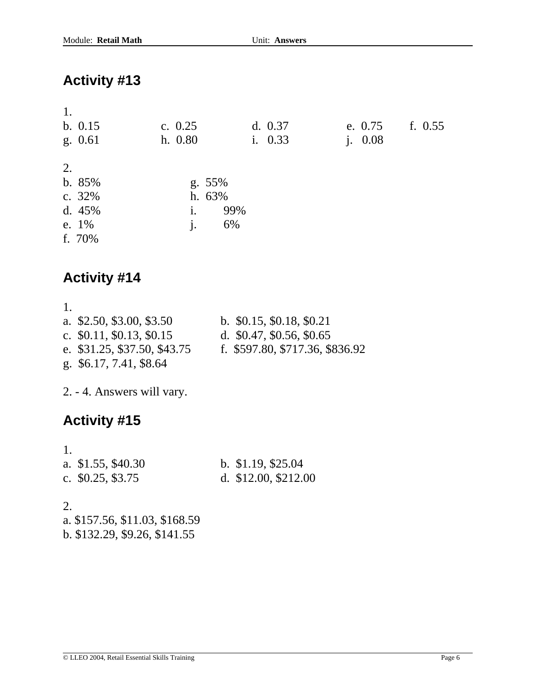| 1.<br>b. 0.15<br>g. 0.61                              | c. $0.25$<br>h. 0.80                        | d. 0.37<br>i. 0.33 | e. $0.75$<br>i. 0.08 | f. $0.55$ |
|-------------------------------------------------------|---------------------------------------------|--------------------|----------------------|-----------|
| 2.<br>b. 85%<br>c. 32%<br>d. $45%$<br>e. 1%<br>f. 70% | $g. 55\%$<br>h. 63%<br>i.<br>$\mathbf{i}$ . | 99%<br>6%          |                      |           |

## **Activity #14**

| 1. |                              |                                 |
|----|------------------------------|---------------------------------|
|    | a. \$2.50, \$3.00, \$3.50    | b. $$0.15, $0.18, $0.21$        |
|    | c. $$0.11, $0.13, $0.15$     | d. $$0.47, $0.56, $0.65$        |
|    | e. \$31.25, \$37.50, \$43.75 | f. \$597.80, \$717.36, \$836.92 |
|    | g. \$6.17, 7.41, \$8.64      |                                 |

2. - 4. Answers will vary.

## **Activity #15**

| a. $$1.55, $40.30$ | b. $$1.19, $25.04$   |
|--------------------|----------------------|
| c. $$0.25, $3.75$  | d. $$12.00, $212.00$ |

2.

a. \$157.56, \$11.03, \$168.59 b. \$132.29, \$9.26, \$141.55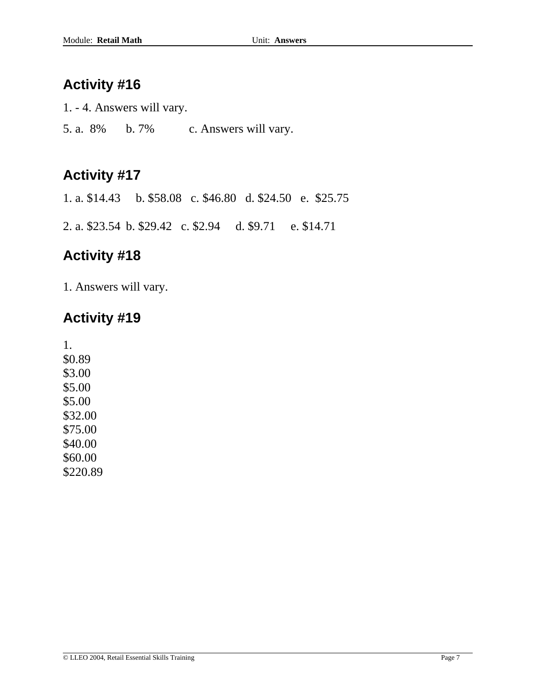1. - 4. Answers will vary.

5. a. 8% b. 7% c. Answers will vary.

### **Activity #17**

1. a. \$14.43 b. \$58.08 c. \$46.80 d. \$24.50 e. \$25.75

2. a. \$23.54 b. \$29.42 c. \$2.94 d. \$9.71 e. \$14.71

### **Activity #18**

1. Answers will vary.

### **Activity #19**

1. \$0.89 \$3.00 \$5.00 \$5.00 \$32.00 \$75.00 \$40.00 \$60.00 \$220.89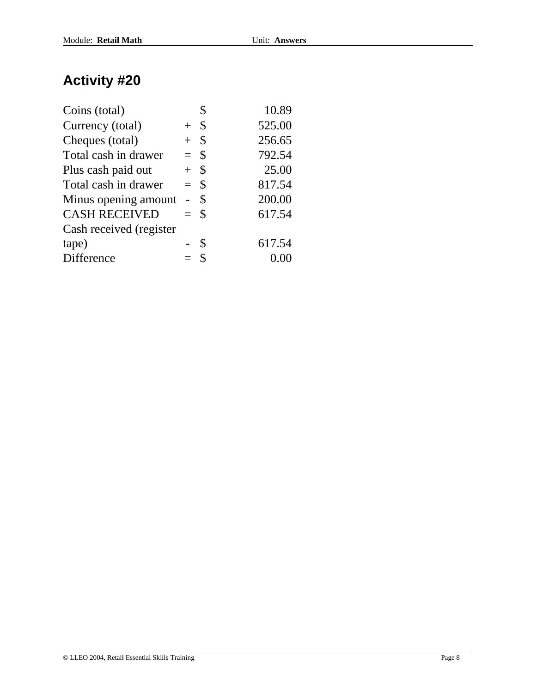| Coins (total)           |                |               | 10.89  |
|-------------------------|----------------|---------------|--------|
| Currency (total)        | $+$ \$         |               | 525.00 |
| Cheques (total)         | $+$            | $\mathcal{S}$ | 256.65 |
| Total cash in drawer    | $=$ \$         |               | 792.54 |
| Plus cash paid out      | $+$ \$         |               | 25.00  |
| Total cash in drawer    | $=$ \$         |               | 817.54 |
| Minus opening amount    | $\overline{a}$ | <sup>\$</sup> | 200.00 |
| <b>CASH RECEIVED</b>    | $=$ \$         |               | 617.54 |
| Cash received (register |                |               |        |
| tape)                   |                | S             | 617.54 |
| Difference              |                | - \$          |        |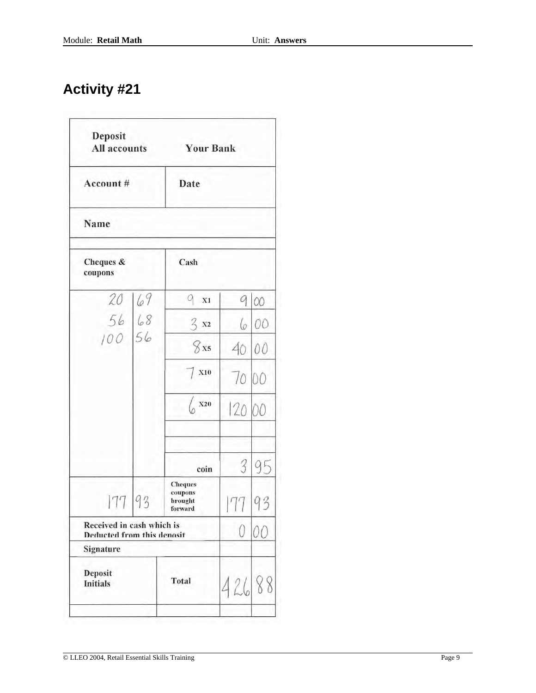| Deposit<br><b>All accounts</b>                          |    | <b>Your Bank</b>                                |       |          |
|---------------------------------------------------------|----|-------------------------------------------------|-------|----------|
| Account #                                               |    | Date                                            |       |          |
| Name                                                    |    |                                                 |       |          |
| Cheques &<br>coupons                                    |    | Cash                                            |       |          |
| 20                                                      | 69 | q<br>X1<br>X                                    |       | $\infty$ |
| 56 68                                                   |    | $3 \times 2$                                    | 6     | 00       |
| 100                                                     | 56 | 8x5                                             | 40    | 00       |
|                                                         |    | X10                                             | 70 00 |          |
|                                                         |    | $\begin{pmatrix} 0 \\ 0 \end{pmatrix}$          | 120   | 00       |
|                                                         |    | coin                                            | 3     | 95       |
| 177                                                     | 93 | <b>Cheques</b><br>coupons<br>brought<br>forward |       | 93       |
| Received in cash which is<br>Deducted from this denosit |    |                                                 | 0     |          |
| Signature                                               |    |                                                 |       |          |
| Deposit<br><b>Initials</b>                              |    | <b>Total</b>                                    | 426   | 8        |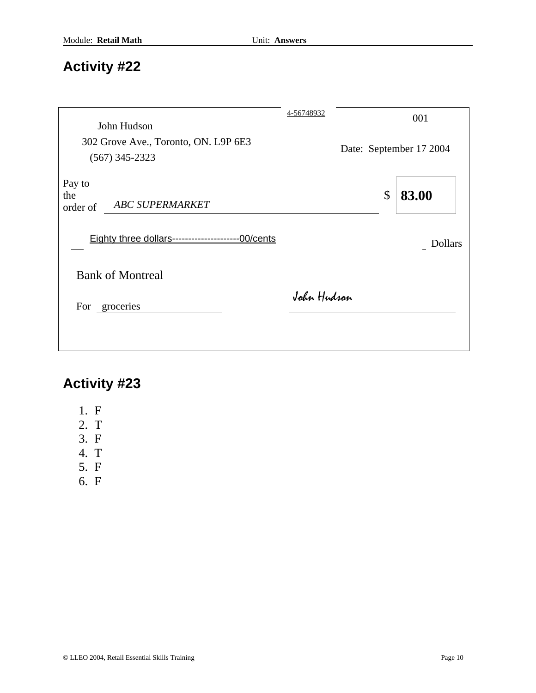| John Hudson                                                   | 4-56748932  |                         | 001            |
|---------------------------------------------------------------|-------------|-------------------------|----------------|
| 302 Grove Ave., Toronto, ON. L9P 6E3<br>$(567)$ 345-2323      |             | Date: September 17 2004 |                |
| Pay to<br>the<br><b>ABC SUPERMARKET</b><br>order of           |             | $\mathcal{S}$           | 83.00          |
| <b>Eighty three dollars--------------------------00/cents</b> |             |                         | <b>Dollars</b> |
| <b>Bank of Montreal</b>                                       |             |                         |                |
| For groceries                                                 | John Hudson |                         |                |
|                                                               |             |                         |                |

- 1. F
- 2. T
- 3. F
- 4. T
- 5. F
- 6. F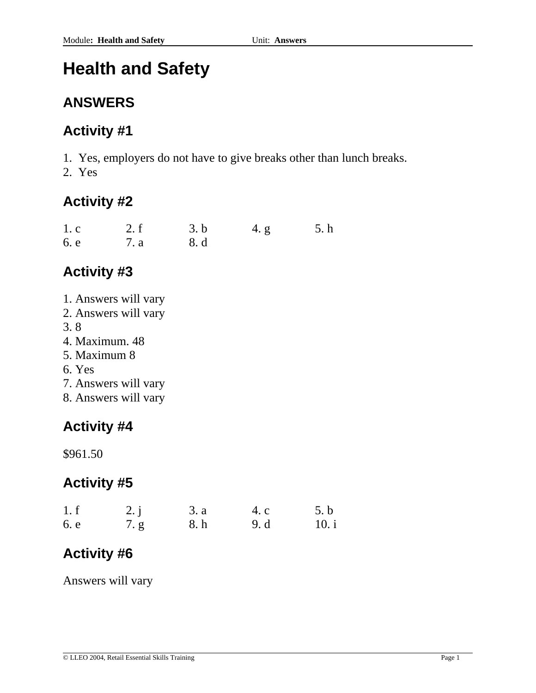# **Health and Safety**

### **ANSWERS**

## **Activity #1**

1. Yes, employers do not have to give breaks other than lunch breaks.

2. Yes

### **Activity #2**

| 1.c  | 2. f | 3. b | 4. g | 5. h |
|------|------|------|------|------|
| 6. e | 7. a | 8. d |      |      |

## **Activity #3**

- 1. Answers will vary
- 2. Answers will vary
- 3. 8
- 4. Maximum. 48
- 5. Maximum 8
- 6. Yes
- 7. Answers will vary
- 8. Answers will vary

## **Activity #4**

\$961.50

## **Activity #5**

| 1.f  | 2. i | 3. a | 4. c | 5.b   |
|------|------|------|------|-------|
| 6. e | 7. g | 8. h | 9. d | 10. i |

# **Activity #6**

Answers will vary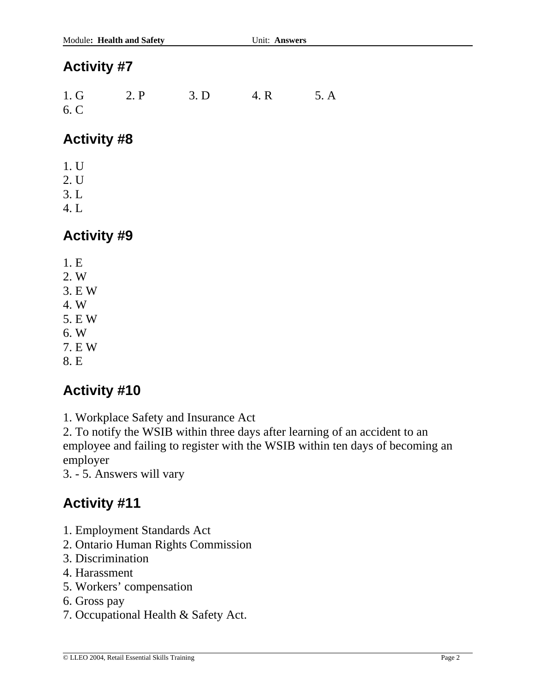1. G 2. P 3. D 4. R 5. A 6. C

### **Activity #8**

- 1. U
- 2. U
- 3. L
- 4. L

### **Activity #9**

- 1. E
- 2. W
- 3. E W
- 4. W
- 5. E W
- 6. W
- 7. E W
- 8. E

### **Activity #10**

1. Workplace Safety and Insurance Act

2. To notify the WSIB within three days after learning of an accident to an employee and failing to register with the WSIB within ten days of becoming an employer

3. - 5. Answers will vary

- 1. Employment Standards Act
- 2. Ontario Human Rights Commission
- 3. Discrimination
- 4. Harassment
- 5. Workers' compensation
- 6. Gross pay
- 7. Occupational Health & Safety Act.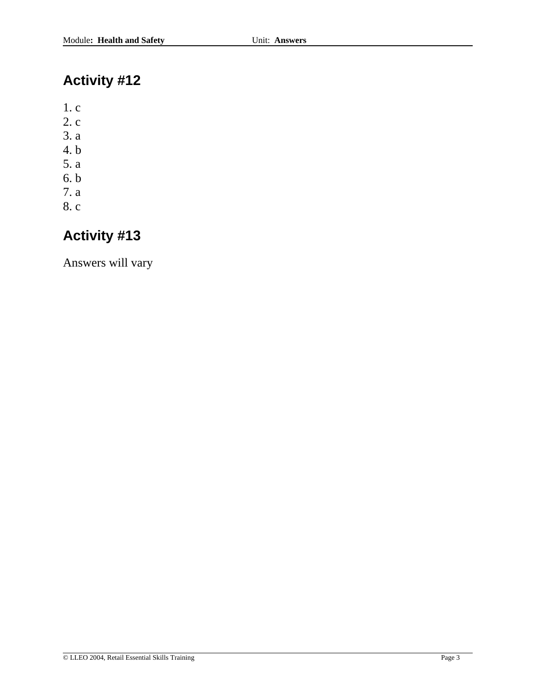1. c

- 2. c
- 3. a
- 4. b
- 5. a
- 6. b
- 7. a
- 8. c

# **Activity #13**

Answers will vary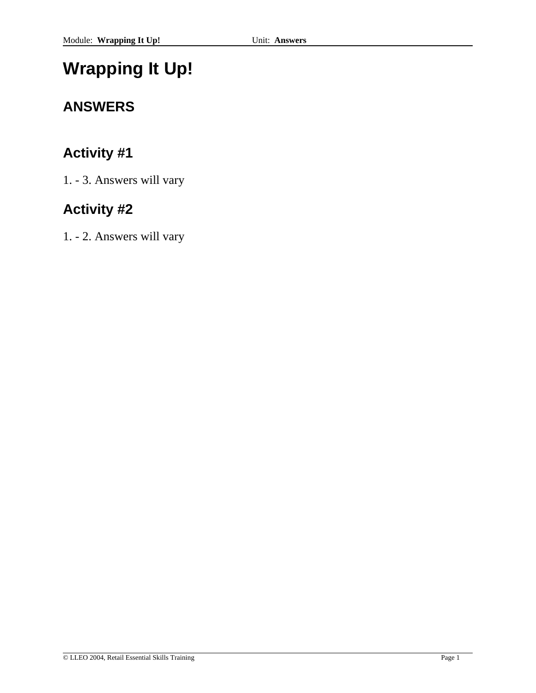# **Wrapping It Up!**

# **ANSWERS**

# **Activity #1**

1. - 3. Answers will vary

# **Activity #2**

1. - 2. Answers will vary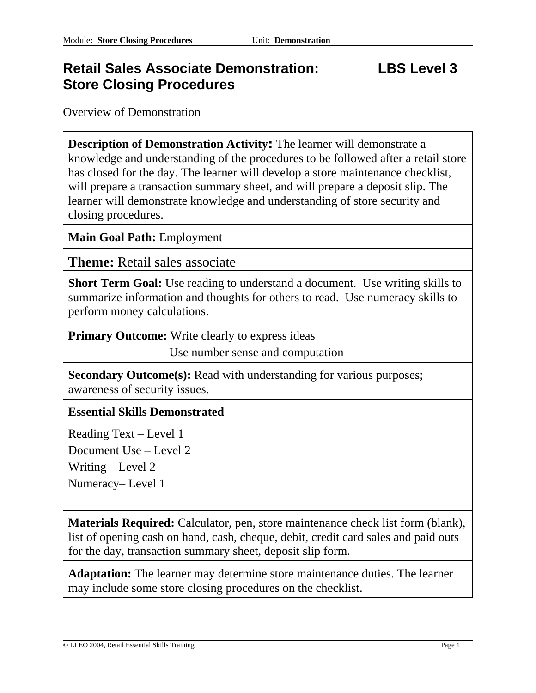### **Retail Sales Associate Demonstration: LBS Level 3 Store Closing Procedures**

Overview of Demonstration

**Description of Demonstration Activity:** The learner will demonstrate a knowledge and understanding of the procedures to be followed after a retail store has closed for the day. The learner will develop a store maintenance checklist, will prepare a transaction summary sheet, and will prepare a deposit slip. The learner will demonstrate knowledge and understanding of store security and closing procedures.

**Main Goal Path:** Employment

**Theme:** Retail sales associate

**Short Term Goal:** Use reading to understand a document. Use writing skills to summarize information and thoughts for others to read. Use numeracy skills to perform money calculations.

**Primary Outcome:** Write clearly to express ideas

Use number sense and computation

**Secondary Outcome(s):** Read with understanding for various purposes; awareness of security issues.

### **Essential Skills Demonstrated**

Reading Text – Level 1 Document Use – Level 2

Writing – Level 2

Numeracy– Level 1

**Materials Required:** Calculator, pen, store maintenance check list form (blank), list of opening cash on hand, cash, cheque, debit, credit card sales and paid outs for the day, transaction summary sheet, deposit slip form.

**Adaptation:** The learner may determine store maintenance duties. The learner may include some store closing procedures on the checklist.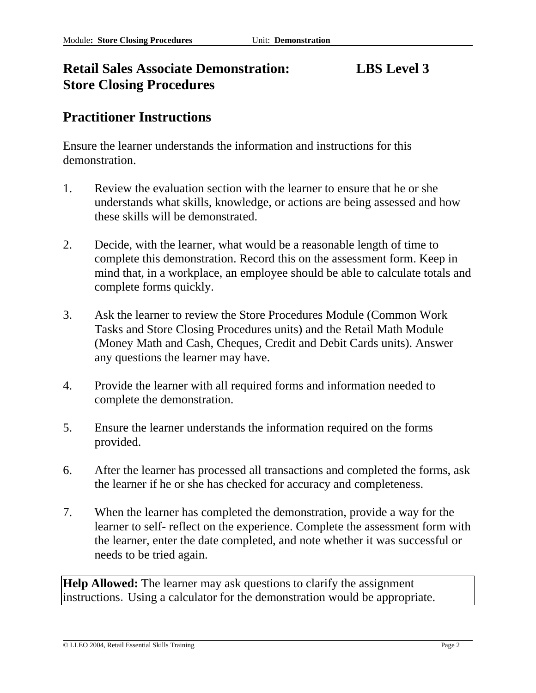### **Retail Sales Associate Demonstration: LBS Level 3 Store Closing Procedures**

### **Practitioner Instructions**

Ensure the learner understands the information and instructions for this demonstration.

- 1. Review the evaluation section with the learner to ensure that he or she understands what skills, knowledge, or actions are being assessed and how these skills will be demonstrated.
- 2. Decide, with the learner, what would be a reasonable length of time to complete this demonstration. Record this on the assessment form. Keep in mind that, in a workplace, an employee should be able to calculate totals and complete forms quickly.
- 3. Ask the learner to review the Store Procedures Module (Common Work Tasks and Store Closing Procedures units) and the Retail Math Module (Money Math and Cash, Cheques, Credit and Debit Cards units). Answer any questions the learner may have.
- 4. Provide the learner with all required forms and information needed to complete the demonstration.
- 5. Ensure the learner understands the information required on the forms provided.
- 6. After the learner has processed all transactions and completed the forms, ask the learner if he or she has checked for accuracy and completeness.
- 7. When the learner has completed the demonstration, provide a way for the learner to self- reflect on the experience. Complete the assessment form with the learner, enter the date completed, and note whether it was successful or needs to be tried again.

**Help Allowed:** The learner may ask questions to clarify the assignment instructions. Using a calculator for the demonstration would be appropriate.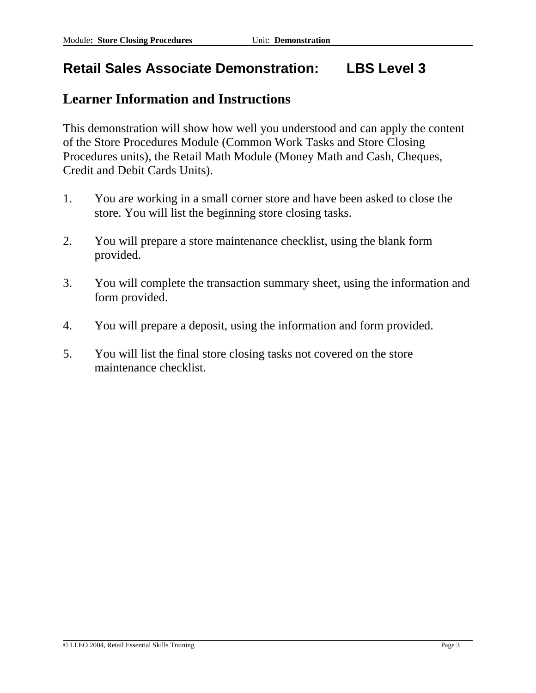## **Retail Sales Associate Demonstration: LBS Level 3**

### **Learner Information and Instructions**

This demonstration will show how well you understood and can apply the content of the Store Procedures Module (Common Work Tasks and Store Closing Procedures units), the Retail Math Module (Money Math and Cash, Cheques, Credit and Debit Cards Units).

- 1. You are working in a small corner store and have been asked to close the store. You will list the beginning store closing tasks.
- 2. You will prepare a store maintenance checklist, using the blank form provided.
- 3. You will complete the transaction summary sheet, using the information and form provided.
- 4. You will prepare a deposit, using the information and form provided.
- 5. You will list the final store closing tasks not covered on the store maintenance checklist.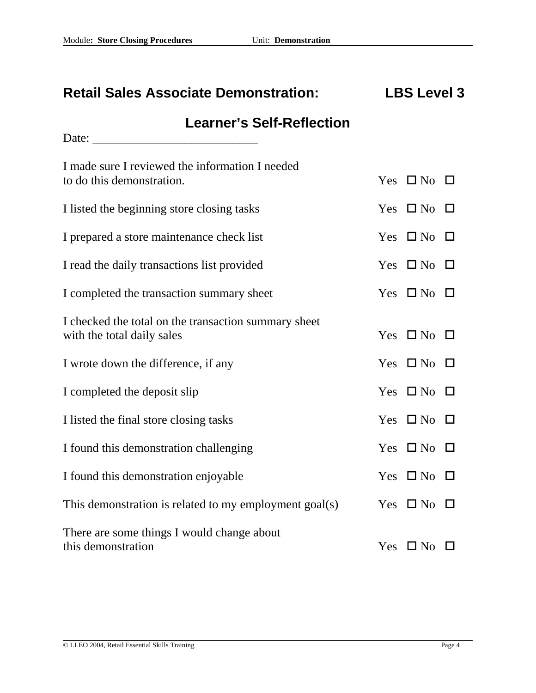# **Retail Sales Associate Demonstration: LBS Level 3**

### **Learner's Self-Reflection**

Date: \_\_\_\_\_\_\_\_\_\_\_\_\_\_\_\_\_\_\_\_\_\_\_\_\_\_\_

| I made sure I reviewed the information I needed                                    |                            |        |
|------------------------------------------------------------------------------------|----------------------------|--------|
| to do this demonstration.                                                          | Yes $\Box$ No $\Box$       |        |
| I listed the beginning store closing tasks                                         | Yes $\Box$ No $\Box$       |        |
| I prepared a store maintenance check list                                          | Yes $\Box$ No              | $\Box$ |
| I read the daily transactions list provided                                        | Yes $\Box$ No $\Box$       |        |
| I completed the transaction summary sheet                                          | Yes $\Box$ No $\Box$       |        |
| I checked the total on the transaction summary sheet<br>with the total daily sales | Yes $\Box$ No $\Box$       |        |
| I wrote down the difference, if any                                                | Yes $\Box$ No $\Box$       |        |
| I completed the deposit slip                                                       | Yes $\Box$ No $\Box$       |        |
| I listed the final store closing tasks                                             | Yes $\Box$ No $\Box$       |        |
| I found this demonstration challenging                                             | Yes $\Box$ No $\Box$       |        |
| I found this demonstration enjoyable                                               | Yes $\Box$ No $\Box$       |        |
| This demonstration is related to my employment goal(s)                             | Yes $\square$ No $\square$ |        |
| There are some things I would change about<br>this demonstration                   | Yes $\square$ No           |        |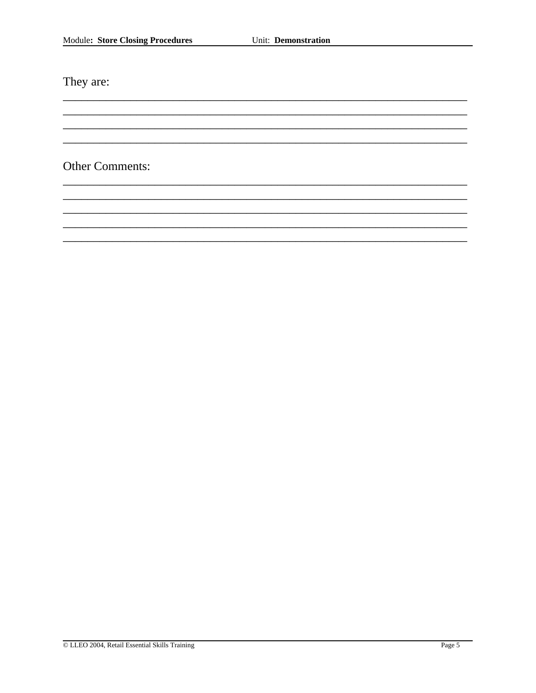They are:

Other Comments: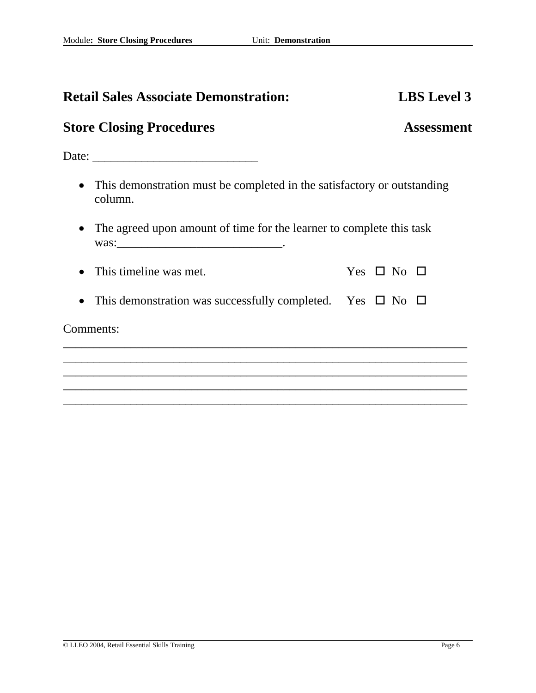| <b>Retail Sales Associate Demonstration:</b>                                         | <b>LBS</b> Level 3   |
|--------------------------------------------------------------------------------------|----------------------|
| <b>Store Closing Procedures</b>                                                      | <b>Assessment</b>    |
|                                                                                      |                      |
| • This demonstration must be completed in the satisfactory or outstanding<br>column. |                      |
| The agreed upon amount of time for the learner to complete this task                 |                      |
| This timeline was met.                                                               | Yes $\Box$ No $\Box$ |
| This demonstration was successfully completed. Yes $\Box$ No $\Box$                  |                      |
| Comments:                                                                            |                      |
|                                                                                      |                      |
|                                                                                      |                      |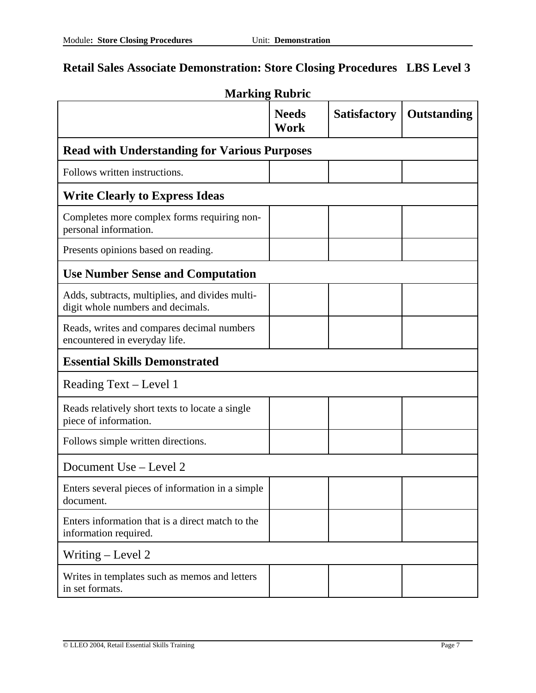| <b>Marking Rubric</b>                                                                |                             |                     |                    |  |
|--------------------------------------------------------------------------------------|-----------------------------|---------------------|--------------------|--|
|                                                                                      | <b>Needs</b><br><b>Work</b> | <b>Satisfactory</b> | <b>Outstanding</b> |  |
| <b>Read with Understanding for Various Purposes</b>                                  |                             |                     |                    |  |
| Follows written instructions.                                                        |                             |                     |                    |  |
| <b>Write Clearly to Express Ideas</b>                                                |                             |                     |                    |  |
| Completes more complex forms requiring non-<br>personal information.                 |                             |                     |                    |  |
| Presents opinions based on reading.                                                  |                             |                     |                    |  |
| <b>Use Number Sense and Computation</b>                                              |                             |                     |                    |  |
| Adds, subtracts, multiplies, and divides multi-<br>digit whole numbers and decimals. |                             |                     |                    |  |
| Reads, writes and compares decimal numbers<br>encountered in everyday life.          |                             |                     |                    |  |
| <b>Essential Skills Demonstrated</b>                                                 |                             |                     |                    |  |
| Reading Text – Level 1                                                               |                             |                     |                    |  |
| Reads relatively short texts to locate a single<br>piece of information.             |                             |                     |                    |  |
| Follows simple written directions.                                                   |                             |                     |                    |  |
| Document Use – Level 2                                                               |                             |                     |                    |  |
| Enters several pieces of information in a simple<br>document.                        |                             |                     |                    |  |
| Enters information that is a direct match to the<br>information required.            |                             |                     |                    |  |
| Writing – Level 2                                                                    |                             |                     |                    |  |
| Writes in templates such as memos and letters<br>in set formats.                     |                             |                     |                    |  |

### **Retail Sales Associate Demonstration: Store Closing Procedures LBS Level 3**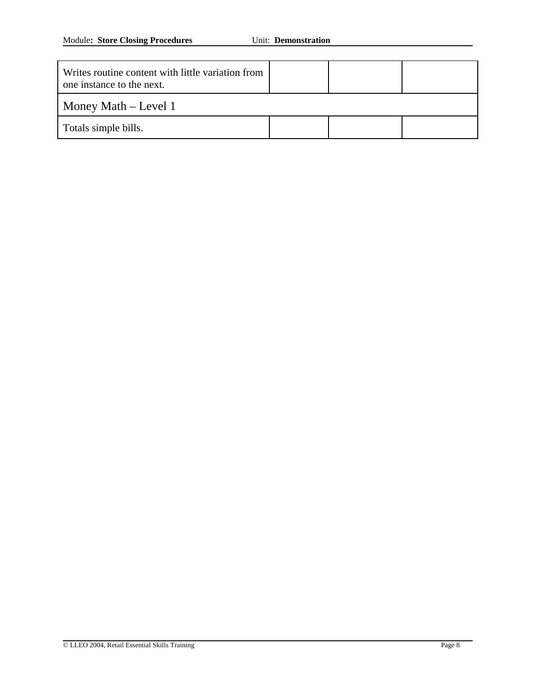| Writes routine content with little variation from<br>one instance to the next. |  |  |  |
|--------------------------------------------------------------------------------|--|--|--|
| Money Math $-$ Level 1                                                         |  |  |  |
| Totals simple bills.                                                           |  |  |  |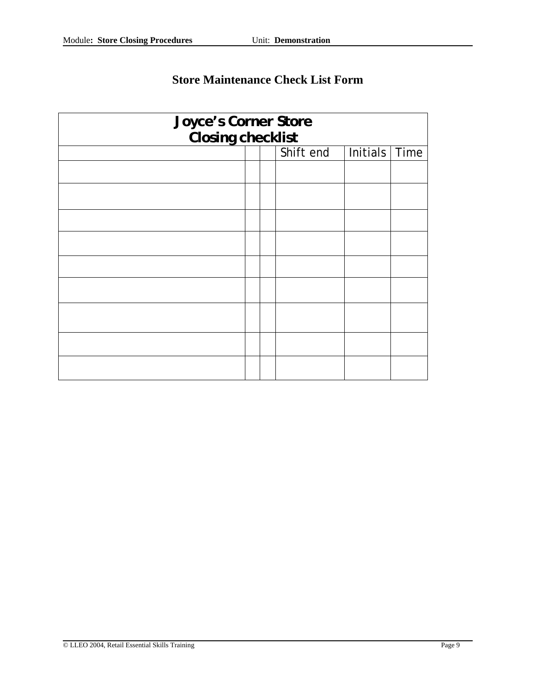| Joyce's Corner Store<br>Closing checklist |                               |  |  |  |  |
|-------------------------------------------|-------------------------------|--|--|--|--|
|                                           |                               |  |  |  |  |
|                                           | Shift end<br>Initials<br>Time |  |  |  |  |
|                                           |                               |  |  |  |  |
|                                           |                               |  |  |  |  |
|                                           |                               |  |  |  |  |
|                                           |                               |  |  |  |  |
|                                           |                               |  |  |  |  |
|                                           |                               |  |  |  |  |
|                                           |                               |  |  |  |  |
|                                           |                               |  |  |  |  |
|                                           |                               |  |  |  |  |

### **Store Maintenance Check List Form**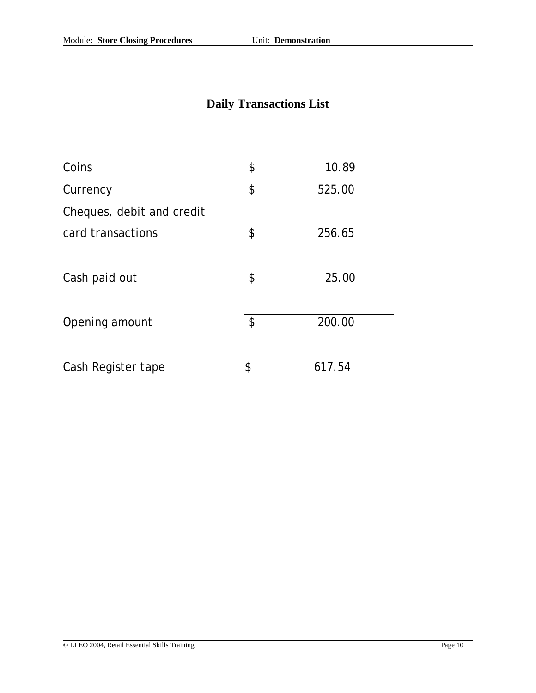## **Daily Transactions List**

| Coins                     | \$                         | 10.89  |
|---------------------------|----------------------------|--------|
| Currency                  | \$                         | 525.00 |
| Cheques, debit and credit |                            |        |
| card transactions         | \$                         | 256.65 |
|                           |                            |        |
| Cash paid out             | \$                         | 25.00  |
|                           |                            |        |
| Opening amount            | $\boldsymbol{\mathsf{\$}}$ | 200.00 |
|                           |                            |        |
| Cash Register tape        | \$                         | 617.54 |
|                           |                            |        |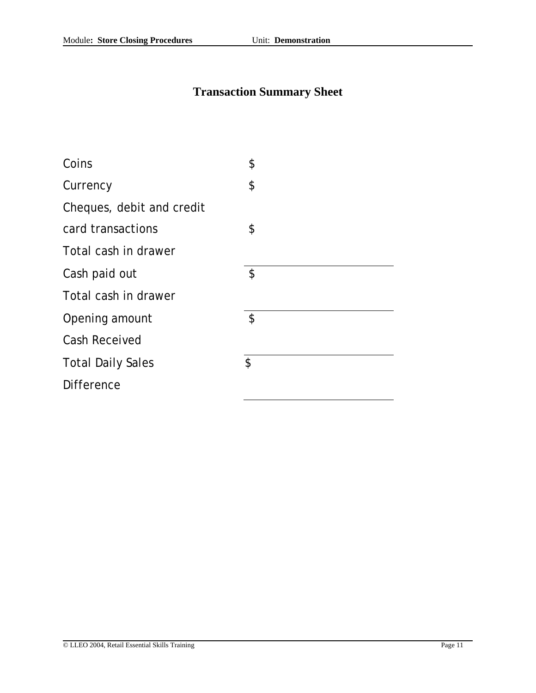### **Transaction Summary Sheet**

| Coins                     | \$ |
|---------------------------|----|
| Currency                  | \$ |
| Cheques, debit and credit |    |
| card transactions         | \$ |
| Total cash in drawer      |    |
| Cash paid out             | \$ |
| Total cash in drawer      |    |
| Opening amount            | \$ |
| <b>Cash Received</b>      |    |
| <b>Total Daily Sales</b>  | \$ |
| <b>Difference</b>         |    |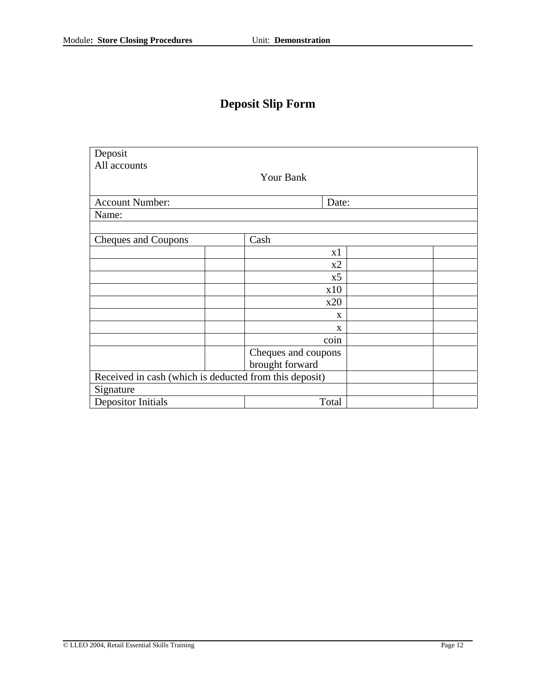## **Deposit Slip Form**

| Deposit                                                |                     |  |  |  |
|--------------------------------------------------------|---------------------|--|--|--|
| All accounts                                           |                     |  |  |  |
|                                                        | Your Bank           |  |  |  |
|                                                        |                     |  |  |  |
| <b>Account Number:</b>                                 | Date:               |  |  |  |
| Name:                                                  |                     |  |  |  |
|                                                        |                     |  |  |  |
| Cash<br>Cheques and Coupons                            |                     |  |  |  |
|                                                        | x1                  |  |  |  |
|                                                        | x2                  |  |  |  |
|                                                        | x5                  |  |  |  |
|                                                        | x10                 |  |  |  |
|                                                        | x20                 |  |  |  |
|                                                        | X                   |  |  |  |
|                                                        | X                   |  |  |  |
|                                                        | coin                |  |  |  |
|                                                        | Cheques and coupons |  |  |  |
|                                                        | brought forward     |  |  |  |
| Received in cash (which is deducted from this deposit) |                     |  |  |  |
| Signature                                              |                     |  |  |  |
| <b>Depositor Initials</b><br>Total                     |                     |  |  |  |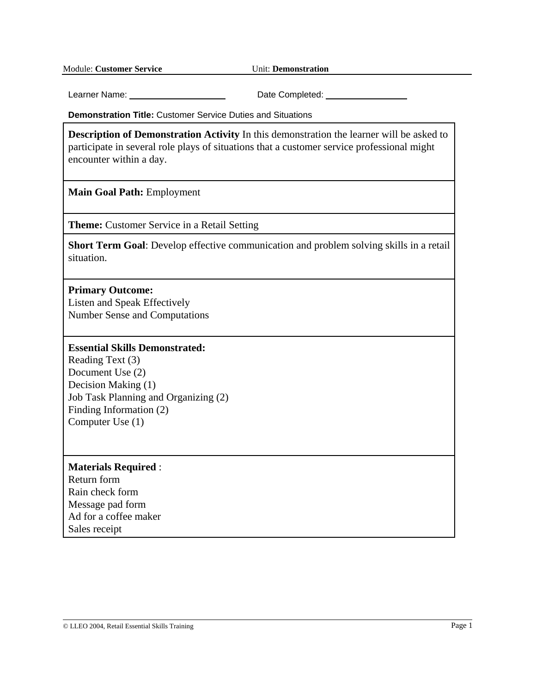Learner Name: Date Completed:

**Demonstration Title:** Customer Service Duties and Situations

**Description of Demonstration Activity** In this demonstration the learner will be asked to participate in several role plays of situations that a customer service professional might encounter within a day.

**Main Goal Path:** Employment

**Theme:** Customer Service in a Retail Setting

**Short Term Goal**: Develop effective communication and problem solving skills in a retail situation.

#### **Primary Outcome:**

Listen and Speak Effectively Number Sense and Computations

#### **Essential Skills Demonstrated:**

Reading Text (3) Document Use (2) Decision Making (1) Job Task Planning and Organizing (2) Finding Information (2) Computer Use (1)

#### **Materials Required** :

Return form Rain check form Message pad form Ad for a coffee maker Sales receipt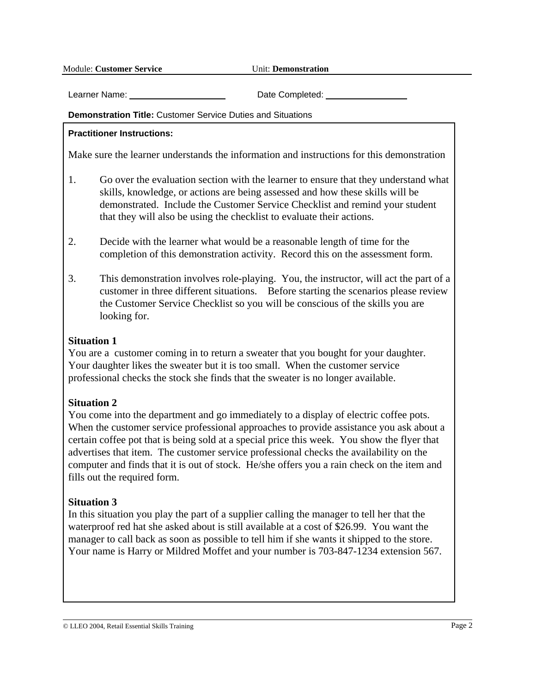Learner Name: Completed: Date Completed:

#### **Demonstration Title:** Customer Service Duties and Situations

#### **Practitioner Instructions:**

Make sure the learner understands the information and instructions for this demonstration

- 1. Go over the evaluation section with the learner to ensure that they understand what skills, knowledge, or actions are being assessed and how these skills will be demonstrated. Include the Customer Service Checklist and remind your student that they will also be using the checklist to evaluate their actions.
- 2. Decide with the learner what would be a reasonable length of time for the completion of this demonstration activity. Record this on the assessment form.
- 3. This demonstration involves role-playing. You, the instructor, will act the part of a customer in three different situations. Before starting the scenarios please review the Customer Service Checklist so you will be conscious of the skills you are looking for.

#### **Situation 1**

You are a customer coming in to return a sweater that you bought for your daughter. Your daughter likes the sweater but it is too small. When the customer service professional checks the stock she finds that the sweater is no longer available.

### **Situation 2**

You come into the department and go immediately to a display of electric coffee pots. When the customer service professional approaches to provide assistance you ask about a certain coffee pot that is being sold at a special price this week. You show the flyer that advertises that item. The customer service professional checks the availability on the computer and finds that it is out of stock. He/she offers you a rain check on the item and fills out the required form.

### **Situation 3**

In this situation you play the part of a supplier calling the manager to tell her that the waterproof red hat she asked about is still available at a cost of \$26.99. You want the manager to call back as soon as possible to tell him if she wants it shipped to the store. Your name is Harry or Mildred Moffet and your number is 703-847-1234 extension 567.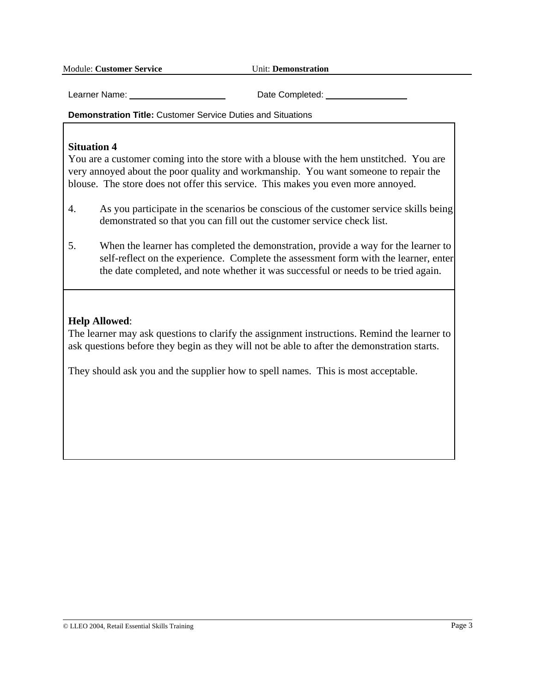Learner Name: Date Completed:

**Demonstration Title:** Customer Service Duties and Situations

#### **Situation 4**

You are a customer coming into the store with a blouse with the hem unstitched. You are very annoyed about the poor quality and workmanship. You want someone to repair the blouse. The store does not offer this service. This makes you even more annoyed.

- 4. As you participate in the scenarios be conscious of the customer service skills being demonstrated so that you can fill out the customer service check list.
- 5. When the learner has completed the demonstration, provide a way for the learner to self-reflect on the experience. Complete the assessment form with the learner, enter the date completed, and note whether it was successful or needs to be tried again.

### **Help Allowed**:

The learner may ask questions to clarify the assignment instructions. Remind the learner to ask questions before they begin as they will not be able to after the demonstration starts.

They should ask you and the supplier how to spell names. This is most acceptable.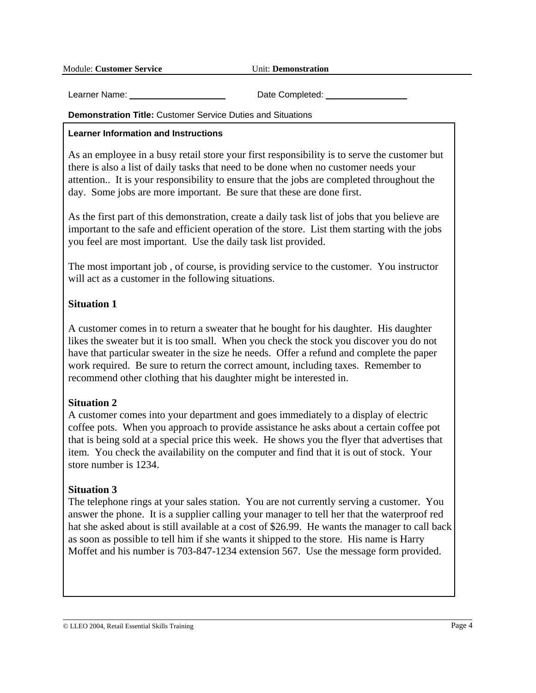Learner Name: Completed: Date Completed:

#### **Demonstration Title:** Customer Service Duties and Situations

#### **Learner Information and Instructions**

As an employee in a busy retail store your first responsibility is to serve the customer but there is also a list of daily tasks that need to be done when no customer needs your attention.. It is your responsibility to ensure that the jobs are completed throughout the day. Some jobs are more important. Be sure that these are done first.

As the first part of this demonstration, create a daily task list of jobs that you believe are important to the safe and efficient operation of the store. List them starting with the jobs you feel are most important. Use the daily task list provided.

The most important job , of course, is providing service to the customer. You instructor will act as a customer in the following situations.

### **Situation 1**

A customer comes in to return a sweater that he bought for his daughter. His daughter likes the sweater but it is too small. When you check the stock you discover you do not have that particular sweater in the size he needs. Offer a refund and complete the paper work required. Be sure to return the correct amount, including taxes. Remember to recommend other clothing that his daughter might be interested in.

### **Situation 2**

A customer comes into your department and goes immediately to a display of electric coffee pots. When you approach to provide assistance he asks about a certain coffee pot that is being sold at a special price this week. He shows you the flyer that advertises that item. You check the availability on the computer and find that it is out of stock. Your store number is 1234.

### **Situation 3**

The telephone rings at your sales station. You are not currently serving a customer. You answer the phone. It is a supplier calling your manager to tell her that the waterproof red hat she asked about is still available at a cost of \$26.99. He wants the manager to call back as soon as possible to tell him if she wants it shipped to the store. His name is Harry Moffet and his number is 703-847-1234 extension 567. Use the message form provided.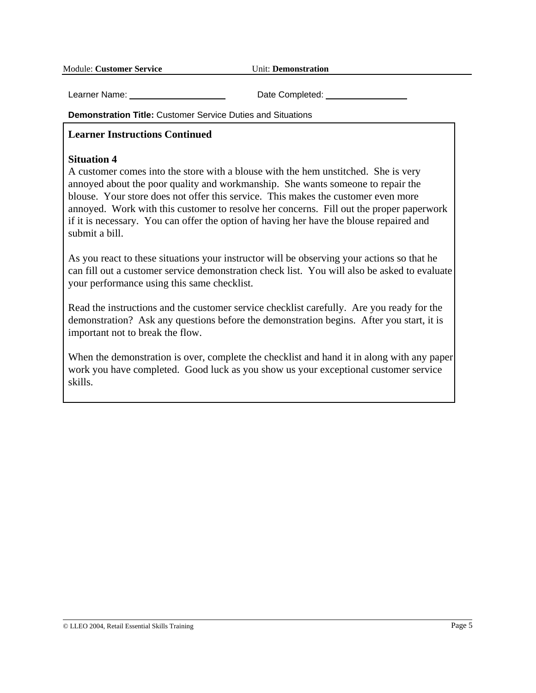Learner Name: Date Completed:

**Demonstration Title:** Customer Service Duties and Situations

#### **Learner Instructions Continued**

#### **Situation 4**

A customer comes into the store with a blouse with the hem unstitched. She is very annoyed about the poor quality and workmanship. She wants someone to repair the blouse. Your store does not offer this service. This makes the customer even more annoyed. Work with this customer to resolve her concerns. Fill out the proper paperwork if it is necessary. You can offer the option of having her have the blouse repaired and submit a bill.

As you react to these situations your instructor will be observing your actions so that he can fill out a customer service demonstration check list. You will also be asked to evaluate your performance using this same checklist.

Read the instructions and the customer service checklist carefully. Are you ready for the demonstration? Ask any questions before the demonstration begins. After you start, it is important not to break the flow.

When the demonstration is over, complete the checklist and hand it in along with any paper work you have completed. Good luck as you show us your exceptional customer service skills.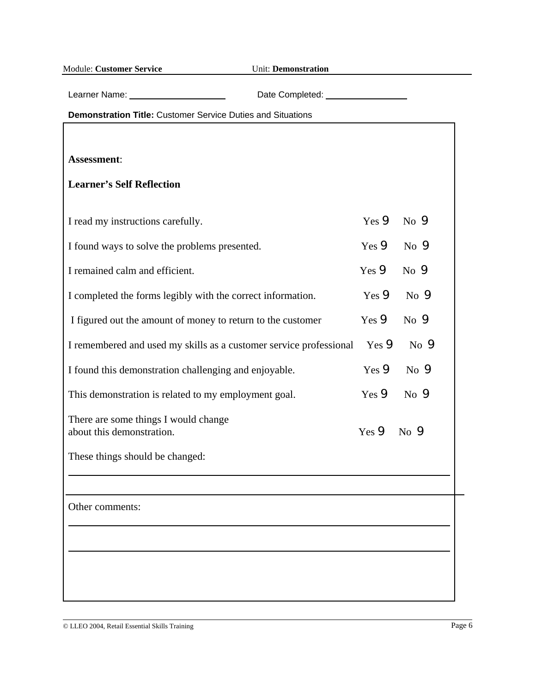|  | <b>Module: Customer Service</b> |  |
|--|---------------------------------|--|
|--|---------------------------------|--|

**Unit: Demonstration** 

Learner Name: Date Completed:

**Demonstration Title:** Customer Service Duties and Situations

**Assessment**: **Learner's Self Reflection** I read my instructions carefully. Yes **9** No **9** I found ways to solve the problems presented. Yes **9** No **9** I remained calm and efficient. Yes **9** No **9** I completed the forms legibly with the correct information. Yes  $\bullet$  No  $\bullet$ I figured out the amount of money to return to the customer Yes  $\bullet$  No  $\bullet$ I remembered and used my skills as a customer service professional Yes  $\bullet$  No  $\bullet$ I found this demonstration challenging and enjoyable. Yes **9** No **9** This demonstration is related to my employment goal. Yes **9** No **9** There are some things I would change about this demonstration.  $Y_{\text{es}} \bullet Y_{\text{res}} \bullet Y_{\text{res}} \bullet Y_{\text{res}} \bullet Y_{\text{res}} \bullet Y_{\text{res}} \bullet Y_{\text{res}} \bullet Y_{\text{res}} \bullet Y_{\text{res}} \bullet Y_{\text{res}} \bullet Y_{\text{res}} \bullet Y_{\text{res}} \bullet Y_{\text{res}} \bullet Y_{\text{res}} \bullet Y_{\text{res}} \bullet Y_{\text{res}} \bullet Y_{\text{res}} \bullet Y_{\text{res}} \bullet Y_{\text{res}} \bullet Y_{\text{res}} \bullet Y_{\text{res}} \bullet Y_{\text{$ These things should be changed: Other comments: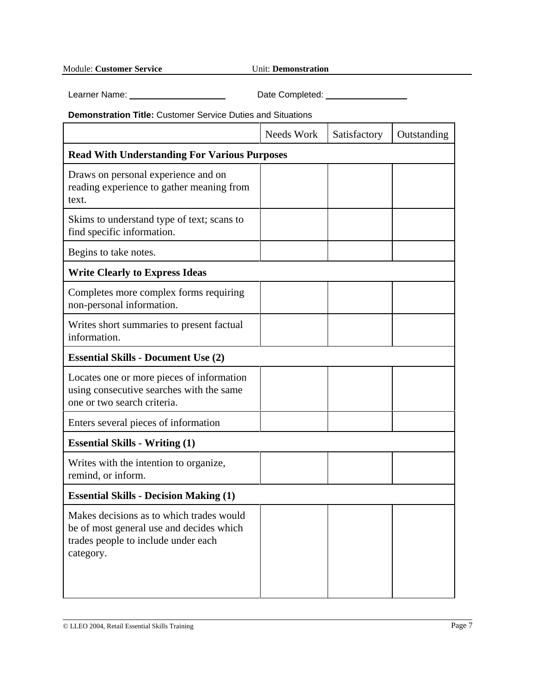Learner Name: Date Completed:

**Demonstration Title:** Customer Service Duties and Situations

|                                                                                                                                          | Needs Work | Satisfactory | Outstanding |  |  |
|------------------------------------------------------------------------------------------------------------------------------------------|------------|--------------|-------------|--|--|
| <b>Read With Understanding For Various Purposes</b>                                                                                      |            |              |             |  |  |
| Draws on personal experience and on<br>reading experience to gather meaning from<br>text.                                                |            |              |             |  |  |
| Skims to understand type of text; scans to<br>find specific information.                                                                 |            |              |             |  |  |
| Begins to take notes.                                                                                                                    |            |              |             |  |  |
| <b>Write Clearly to Express Ideas</b>                                                                                                    |            |              |             |  |  |
| Completes more complex forms requiring<br>non-personal information.                                                                      |            |              |             |  |  |
| Writes short summaries to present factual<br>information.                                                                                |            |              |             |  |  |
| <b>Essential Skills - Document Use (2)</b>                                                                                               |            |              |             |  |  |
| Locates one or more pieces of information<br>using consecutive searches with the same<br>one or two search criteria.                     |            |              |             |  |  |
| Enters several pieces of information                                                                                                     |            |              |             |  |  |
| <b>Essential Skills - Writing (1)</b>                                                                                                    |            |              |             |  |  |
| Writes with the intention to organize,<br>remind, or inform.                                                                             |            |              |             |  |  |
| <b>Essential Skills - Decision Making (1)</b>                                                                                            |            |              |             |  |  |
| Makes decisions as to which trades would<br>be of most general use and decides which<br>trades people to include under each<br>category. |            |              |             |  |  |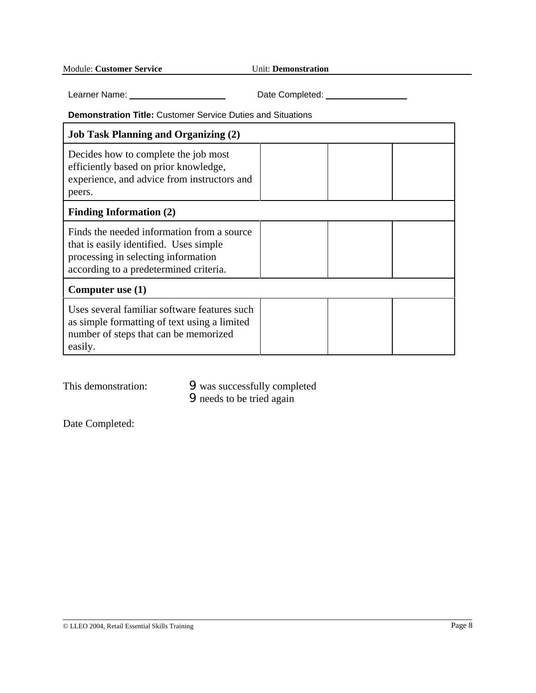Learner Name: Date Completed:

**Demonstration Title:** Customer Service Duties and Situations

| <b>Job Task Planning and Organizing (2)</b>                                                                                                                           |  |  |
|-----------------------------------------------------------------------------------------------------------------------------------------------------------------------|--|--|
| Decides how to complete the job most<br>efficiently based on prior knowledge,<br>experience, and advice from instructors and<br>peers.                                |  |  |
| <b>Finding Information (2)</b>                                                                                                                                        |  |  |
| Finds the needed information from a source<br>that is easily identified. Uses simple<br>processing in selecting information<br>according to a predetermined criteria. |  |  |
| Computer use $(1)$                                                                                                                                                    |  |  |
| Uses several familiar software features such<br>as simple formatting of text using a limited<br>number of steps that can be memorized<br>easily.                      |  |  |

This demonstration:  $\bullet$  was successfully completed **9** needs to be tried again

Date Completed: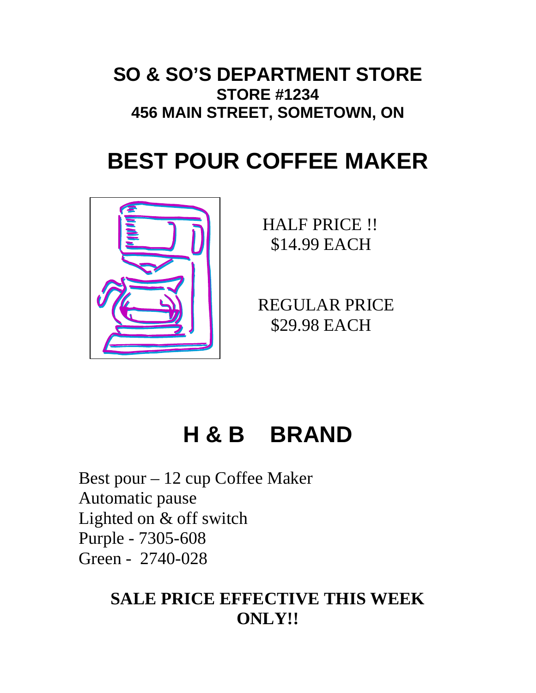# **SO & SO'S DEPARTMENT STORE STORE #1234 456 MAIN STREET, SOMETOWN, ON**

# **BEST POUR COFFEE MAKER**



 HALF PRICE !! \$14.99 EACH

 REGULAR PRICE \$29.98 EACH

# **H & B BRAND**

Best pour – 12 cup Coffee Maker Automatic pause Lighted on & off switch Purple - 7305-608 Green - 2740-028

# **SALE PRICE EFFECTIVE THIS WEEK ONLY!!**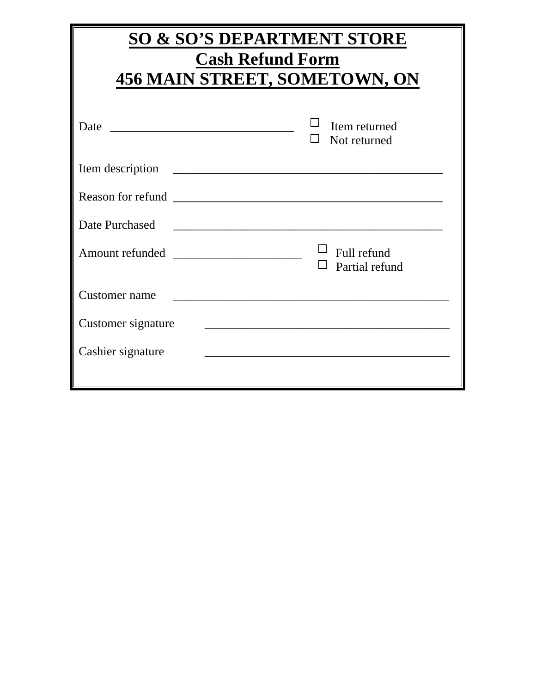| <b>SO &amp; SO'S DEPARTMENT STORE</b> |                                                                                                                        |  |  |  |  |  |
|---------------------------------------|------------------------------------------------------------------------------------------------------------------------|--|--|--|--|--|
| <b>Cash Refund Form</b>               |                                                                                                                        |  |  |  |  |  |
|                                       | 456 MAIN STREET, SOMETOWN, ON                                                                                          |  |  |  |  |  |
|                                       | Item returned<br>Not returned                                                                                          |  |  |  |  |  |
| Item description                      | <u> 1980 - Johann Barn, mars ann an t-Amhain ann an t-Amhain an t-Amhain an t-Amhain an t-Amhain ann an t-Amhain a</u> |  |  |  |  |  |
|                                       |                                                                                                                        |  |  |  |  |  |
| Date Purchased                        |                                                                                                                        |  |  |  |  |  |
|                                       | Full refund<br>Partial refund                                                                                          |  |  |  |  |  |
| Customer name                         |                                                                                                                        |  |  |  |  |  |
| Customer signature                    | <u> 1989 - Johann Barbara, martxa alemaniar a</u>                                                                      |  |  |  |  |  |
| Cashier signature                     |                                                                                                                        |  |  |  |  |  |
|                                       |                                                                                                                        |  |  |  |  |  |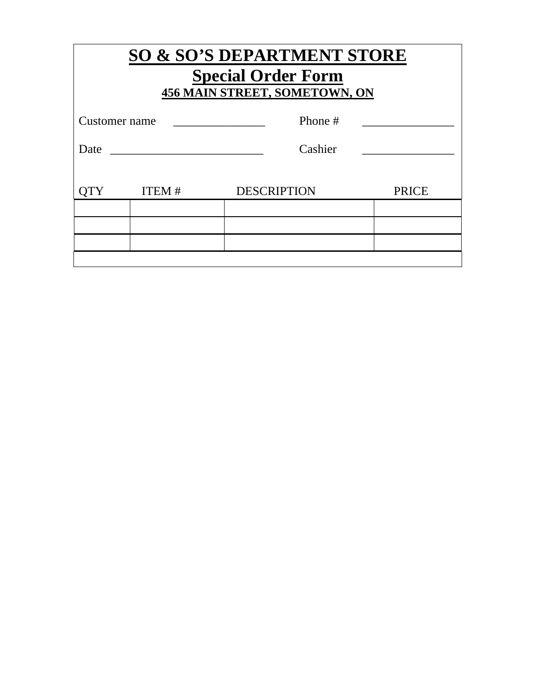| <b>SO &amp; SO'S DEPARTMENT STORE</b><br><b>Special Order Form</b><br>456 MAIN STREET, SOMETOWN, ON |              |                    |              |  |  |
|-----------------------------------------------------------------------------------------------------|--------------|--------------------|--------------|--|--|
| Customer name                                                                                       |              | Phone #            |              |  |  |
| Cashier<br>Date                                                                                     |              |                    |              |  |  |
|                                                                                                     | <b>ITEM#</b> | <b>DESCRIPTION</b> | <b>PRICE</b> |  |  |
|                                                                                                     |              |                    |              |  |  |
|                                                                                                     |              |                    |              |  |  |
|                                                                                                     |              |                    |              |  |  |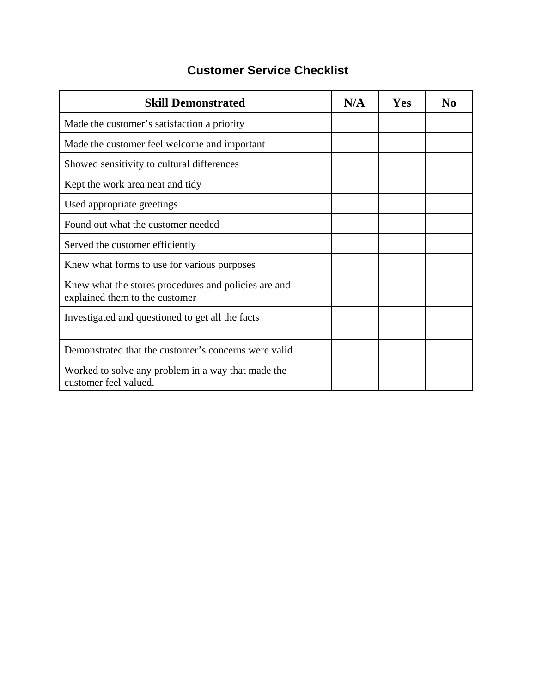## **Customer Service Checklist**

| <b>Skill Demonstrated</b>                                                              | N/A | Yes | No |
|----------------------------------------------------------------------------------------|-----|-----|----|
| Made the customer's satisfaction a priority                                            |     |     |    |
| Made the customer feel welcome and important                                           |     |     |    |
| Showed sensitivity to cultural differences                                             |     |     |    |
| Kept the work area neat and tidy                                                       |     |     |    |
| Used appropriate greetings                                                             |     |     |    |
| Found out what the customer needed                                                     |     |     |    |
| Served the customer efficiently                                                        |     |     |    |
| Knew what forms to use for various purposes                                            |     |     |    |
| Knew what the stores procedures and policies are and<br>explained them to the customer |     |     |    |
| Investigated and questioned to get all the facts                                       |     |     |    |
| Demonstrated that the customer's concerns were valid                                   |     |     |    |
| Worked to solve any problem in a way that made the<br>customer feel valued.            |     |     |    |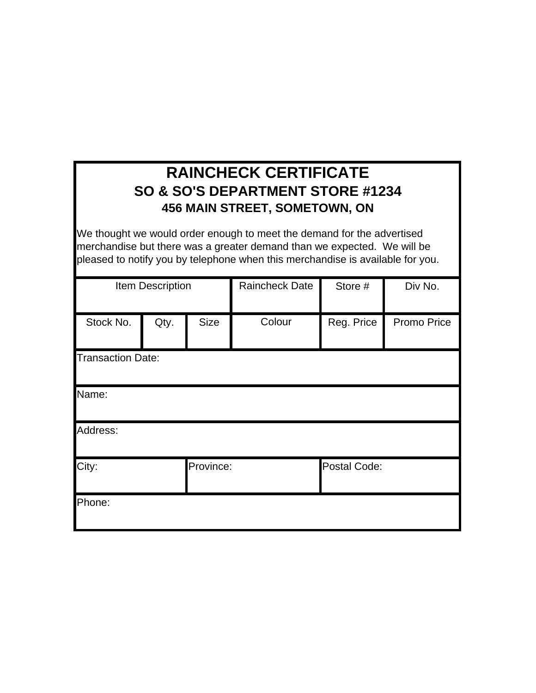# **RAINCHECK CERTIFICATE SO & SO'S DEPARTMENT STORE #1234 456 MAIN STREET, SOMETOWN, ON**

We thought we would order enough to meet the demand for the advertised merchandise but there was a greater demand than we expected. We will be pleased to notify you by telephone when this merchandise is available for you.

|                          | Item Description |             | <b>Raincheck Date</b> | Store #      | Div No.     |
|--------------------------|------------------|-------------|-----------------------|--------------|-------------|
| Stock No.                | Qty.             | <b>Size</b> | Colour                | Reg. Price   | Promo Price |
| <b>Transaction Date:</b> |                  |             |                       |              |             |
| Name:                    |                  |             |                       |              |             |
| Address:                 |                  |             |                       |              |             |
| Province:<br>City:       |                  |             |                       | Postal Code: |             |
| Phone:                   |                  |             |                       |              |             |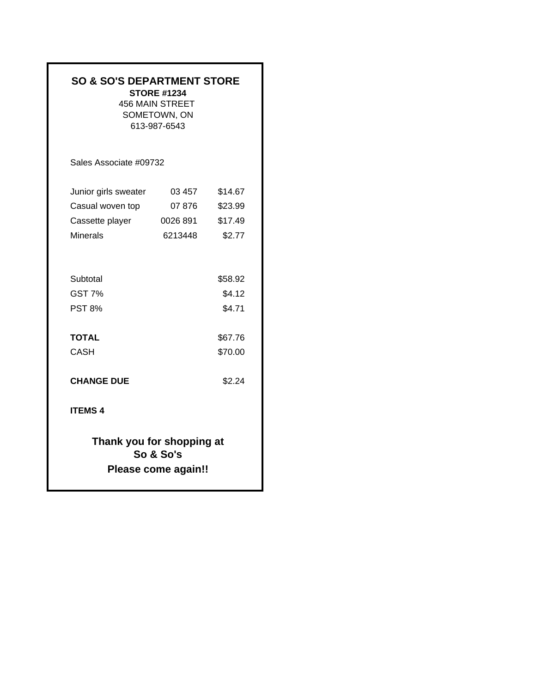| <b>SO &amp; SO'S DEPARTMENT STORE</b>      | <b>STORE #1234</b><br><b>456 MAIN STREET</b><br>SOMETOWN, ON<br>613-987-6543 |                             |
|--------------------------------------------|------------------------------------------------------------------------------|-----------------------------|
| Sales Associate #09732                     |                                                                              |                             |
| Junior girls sweater                       | 03 457                                                                       | \$14.67                     |
| Casual woven top                           | 07 876                                                                       | \$23.99                     |
| Cassette player                            | 0026 891                                                                     | \$17.49                     |
| <b>Minerals</b>                            | 6213448                                                                      | \$2.77                      |
| Subtotal<br><b>GST 7%</b><br><b>PST 8%</b> |                                                                              | \$58.92<br>\$4.12<br>\$4.71 |
| <b>TOTAL</b>                               |                                                                              | \$67.76                     |
| <b>CASH</b>                                |                                                                              | \$70.00                     |
| <b>CHANGE DUE</b>                          |                                                                              | \$2.24                      |
| <b>ITEMS 4</b>                             |                                                                              |                             |
| Thank you for shopping at                  | So & So's<br>Please come again!!                                             |                             |